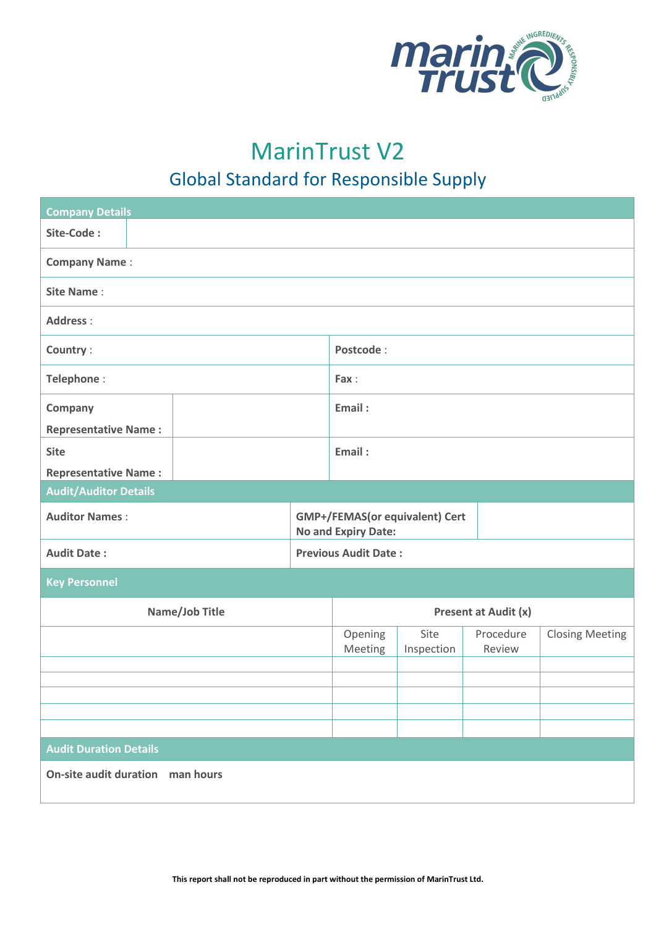

## MarinTrust V2

## Global Standard for Responsible Supply

| <b>Company Details</b>           |  |                                                       |                    |                      |                        |
|----------------------------------|--|-------------------------------------------------------|--------------------|----------------------|------------------------|
| Site-Code:                       |  |                                                       |                    |                      |                        |
| <b>Company Name:</b>             |  |                                                       |                    |                      |                        |
| <b>Site Name:</b>                |  |                                                       |                    |                      |                        |
| <b>Address:</b>                  |  |                                                       |                    |                      |                        |
| Country:                         |  | Postcode:                                             |                    |                      |                        |
| Telephone:                       |  | Fax:                                                  |                    |                      |                        |
| Company                          |  | Email:                                                |                    |                      |                        |
| <b>Representative Name:</b>      |  |                                                       |                    |                      |                        |
| <b>Site</b>                      |  | Email:                                                |                    |                      |                        |
| <b>Representative Name:</b>      |  |                                                       |                    |                      |                        |
| <b>Audit/Auditor Details</b>     |  |                                                       |                    |                      |                        |
| <b>Auditor Names:</b>            |  | GMP+/FEMAS(or equivalent) Cert<br>No and Expiry Date: |                    |                      |                        |
| <b>Audit Date:</b>               |  | <b>Previous Audit Date:</b>                           |                    |                      |                        |
| <b>Key Personnel</b>             |  |                                                       |                    |                      |                        |
| Name/Job Title                   |  |                                                       |                    | Present at Audit (x) |                        |
|                                  |  | Opening<br>Meeting                                    | Site<br>Inspection | Procedure<br>Review  | <b>Closing Meeting</b> |
|                                  |  |                                                       |                    |                      |                        |
|                                  |  |                                                       |                    |                      |                        |
|                                  |  |                                                       |                    |                      |                        |
|                                  |  |                                                       |                    |                      |                        |
| <b>Audit Duration Details</b>    |  |                                                       |                    |                      |                        |
|                                  |  |                                                       |                    |                      |                        |
| On-site audit duration man hours |  |                                                       |                    |                      |                        |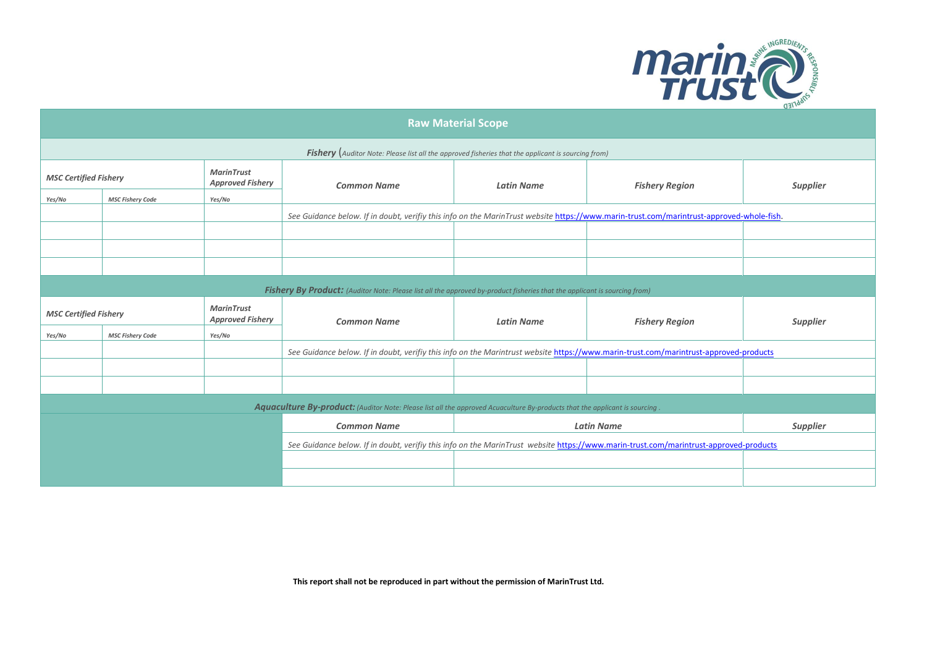

| <b>Raw Material Scope</b>    |                         |                                              |                                                                                                                                          |                   |                       |                 |
|------------------------------|-------------------------|----------------------------------------------|------------------------------------------------------------------------------------------------------------------------------------------|-------------------|-----------------------|-----------------|
|                              |                         |                                              | <b>Fishery</b> (Auditor Note: Please list all the approved fisheries that the applicant is sourcing from)                                |                   |                       |                 |
| <b>MSC Certified Fishery</b> |                         | <b>MarinTrust</b><br><b>Approved Fishery</b> | <b>Common Name</b>                                                                                                                       | <b>Latin Name</b> | <b>Fishery Region</b> | <b>Supplier</b> |
| Yes/No                       | <b>MSC Fishery Code</b> | Yes/No                                       |                                                                                                                                          |                   |                       |                 |
|                              |                         |                                              | See Guidance below. If in doubt, verifiy this info on the MarinTrust website https://www.marin-trust.com/marintrust-approved-whole-fish. |                   |                       |                 |
|                              |                         |                                              |                                                                                                                                          |                   |                       |                 |
|                              |                         |                                              |                                                                                                                                          |                   |                       |                 |
|                              |                         |                                              |                                                                                                                                          |                   |                       |                 |
|                              |                         |                                              | Fishery By Product: (Auditor Note: Please list all the approved by-product fisheries that the applicant is sourcing from)                |                   |                       |                 |
| <b>MSC Certified Fishery</b> |                         | <b>MarinTrust</b>                            |                                                                                                                                          |                   |                       |                 |
|                              |                         | <b>Approved Fishery</b>                      | <b>Common Name</b>                                                                                                                       | <b>Latin Name</b> |                       |                 |
| Yes/No                       | <b>MSC Fishery Code</b> | Yes/No                                       |                                                                                                                                          |                   | <b>Fishery Region</b> | <b>Supplier</b> |
|                              |                         |                                              | See Guidance below. If in doubt, verifiy this info on the Marintrust website https://www.marin-trust.com/marintrust-approved-products    |                   |                       |                 |
|                              |                         |                                              |                                                                                                                                          |                   |                       |                 |
|                              |                         |                                              |                                                                                                                                          |                   |                       |                 |
|                              |                         |                                              | Aquaculture By-product: (Auditor Note: Please list all the approved Acuaculture By-products that the applicant is sourcing               |                   |                       |                 |
|                              |                         |                                              | <b>Common Name</b>                                                                                                                       |                   | <b>Latin Name</b>     | <b>Supplier</b> |
|                              |                         |                                              | See Guidance below. If in doubt, verifiy this info on the MarinTrust website https://www.marin-trust.com/marintrust-approved-products    |                   |                       |                 |
|                              |                         |                                              |                                                                                                                                          |                   |                       |                 |

**This report shall not be reproduced in part without the permission of MarinTrust Ltd.**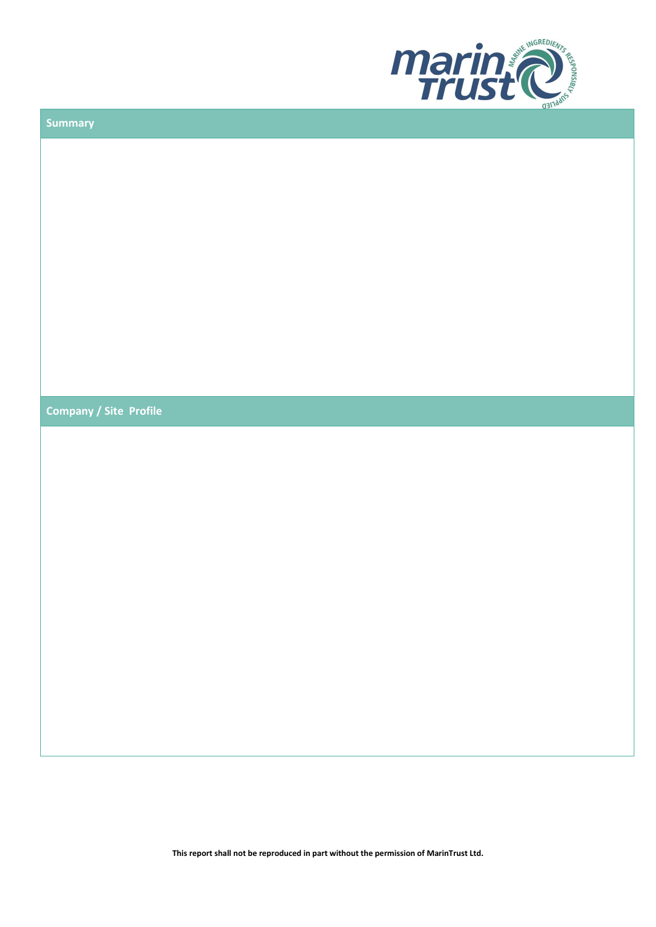

| <b>Summary</b>                |  |
|-------------------------------|--|
|                               |  |
|                               |  |
|                               |  |
|                               |  |
|                               |  |
|                               |  |
|                               |  |
|                               |  |
|                               |  |
|                               |  |
|                               |  |
| <b>Company / Site Profile</b> |  |
|                               |  |
|                               |  |
|                               |  |
|                               |  |
|                               |  |
|                               |  |
|                               |  |
|                               |  |
|                               |  |
|                               |  |
|                               |  |
|                               |  |
|                               |  |
|                               |  |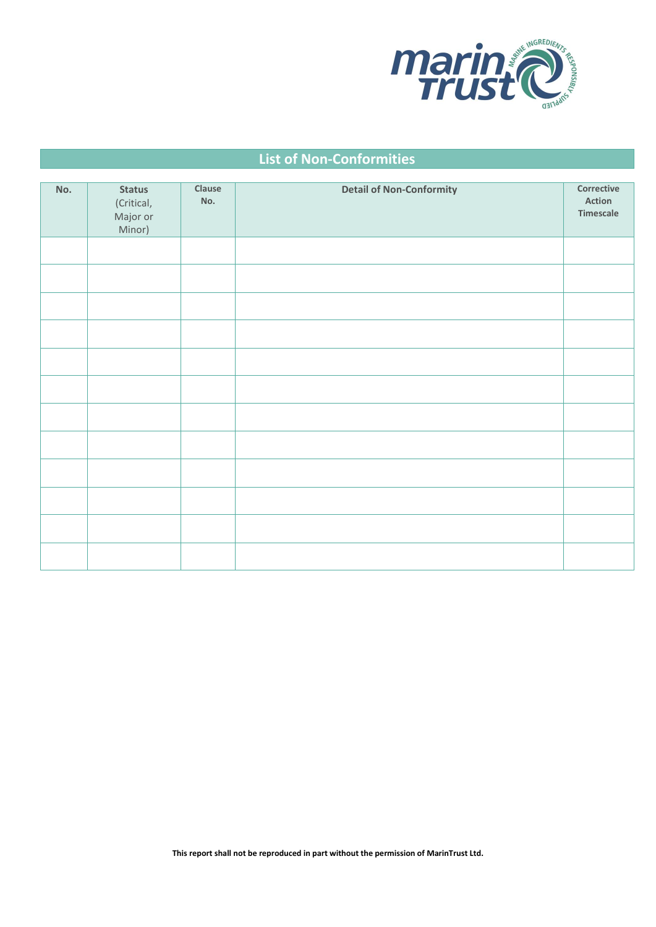

## **List of Non-Conformities**

| No. | <b>Status</b><br>(Critical,<br>Major or<br>Minor) | Clause<br>No. | <b>Detail of Non-Conformity</b> | Corrective<br>Action<br>Timescale |
|-----|---------------------------------------------------|---------------|---------------------------------|-----------------------------------|
|     |                                                   |               |                                 |                                   |
|     |                                                   |               |                                 |                                   |
|     |                                                   |               |                                 |                                   |
|     |                                                   |               |                                 |                                   |
|     |                                                   |               |                                 |                                   |
|     |                                                   |               |                                 |                                   |
|     |                                                   |               |                                 |                                   |
|     |                                                   |               |                                 |                                   |
|     |                                                   |               |                                 |                                   |
|     |                                                   |               |                                 |                                   |
|     |                                                   |               |                                 |                                   |
|     |                                                   |               |                                 |                                   |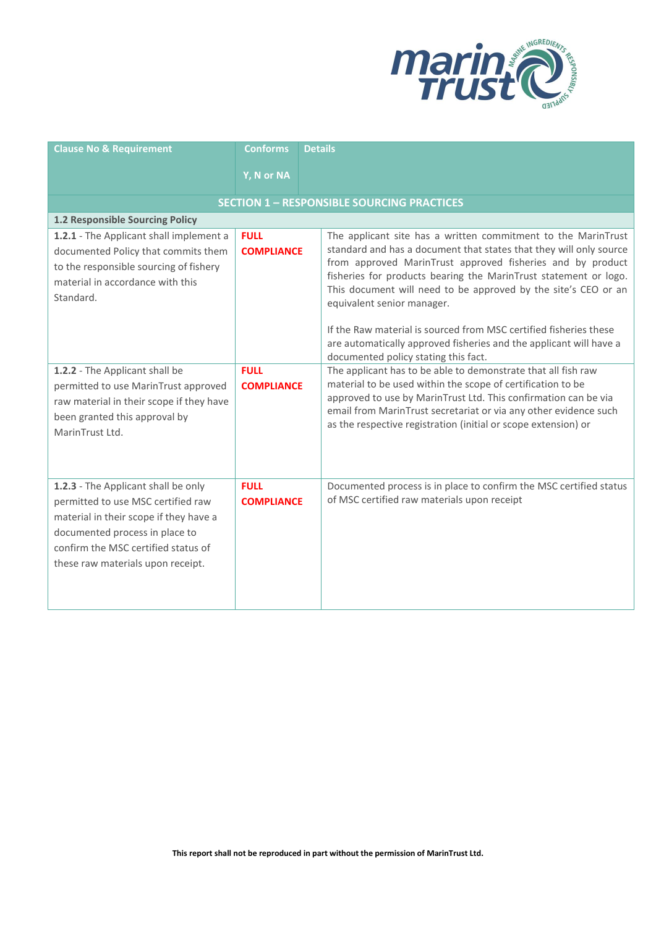

| <b>Clause No &amp; Requirement</b>                                                                                                                                                                                                | <b>Conforms</b>                                   | <b>Details</b>                                                                                                                                                                                                                                                                                                                                                                                                                                                                                                                                           |  |  |
|-----------------------------------------------------------------------------------------------------------------------------------------------------------------------------------------------------------------------------------|---------------------------------------------------|----------------------------------------------------------------------------------------------------------------------------------------------------------------------------------------------------------------------------------------------------------------------------------------------------------------------------------------------------------------------------------------------------------------------------------------------------------------------------------------------------------------------------------------------------------|--|--|
|                                                                                                                                                                                                                                   | Y, N or NA                                        |                                                                                                                                                                                                                                                                                                                                                                                                                                                                                                                                                          |  |  |
|                                                                                                                                                                                                                                   | <b>SECTION 1 - RESPONSIBLE SOURCING PRACTICES</b> |                                                                                                                                                                                                                                                                                                                                                                                                                                                                                                                                                          |  |  |
| 1.2 Responsible Sourcing Policy                                                                                                                                                                                                   |                                                   |                                                                                                                                                                                                                                                                                                                                                                                                                                                                                                                                                          |  |  |
| 1.2.1 - The Applicant shall implement a<br>documented Policy that commits them<br>to the responsible sourcing of fishery<br>material in accordance with this<br>Standard.                                                         | <b>FULL</b><br><b>COMPLIANCE</b>                  | The applicant site has a written commitment to the MarinTrust<br>standard and has a document that states that they will only source<br>from approved MarinTrust approved fisheries and by product<br>fisheries for products bearing the MarinTrust statement or logo.<br>This document will need to be approved by the site's CEO or an<br>equivalent senior manager.<br>If the Raw material is sourced from MSC certified fisheries these<br>are automatically approved fisheries and the applicant will have a<br>documented policy stating this fact. |  |  |
| 1.2.2 - The Applicant shall be<br>permitted to use MarinTrust approved<br>raw material in their scope if they have<br>been granted this approval by<br>MarinTrust Ltd.                                                            | <b>FULL</b><br><b>COMPLIANCE</b>                  | The applicant has to be able to demonstrate that all fish raw<br>material to be used within the scope of certification to be<br>approved to use by MarinTrust Ltd. This confirmation can be via<br>email from MarinTrust secretariat or via any other evidence such<br>as the respective registration (initial or scope extension) or                                                                                                                                                                                                                    |  |  |
| 1.2.3 - The Applicant shall be only<br>permitted to use MSC certified raw<br>material in their scope if they have a<br>documented process in place to<br>confirm the MSC certified status of<br>these raw materials upon receipt. | <b>FULL</b><br><b>COMPLIANCE</b>                  | Documented process is in place to confirm the MSC certified status<br>of MSC certified raw materials upon receipt                                                                                                                                                                                                                                                                                                                                                                                                                                        |  |  |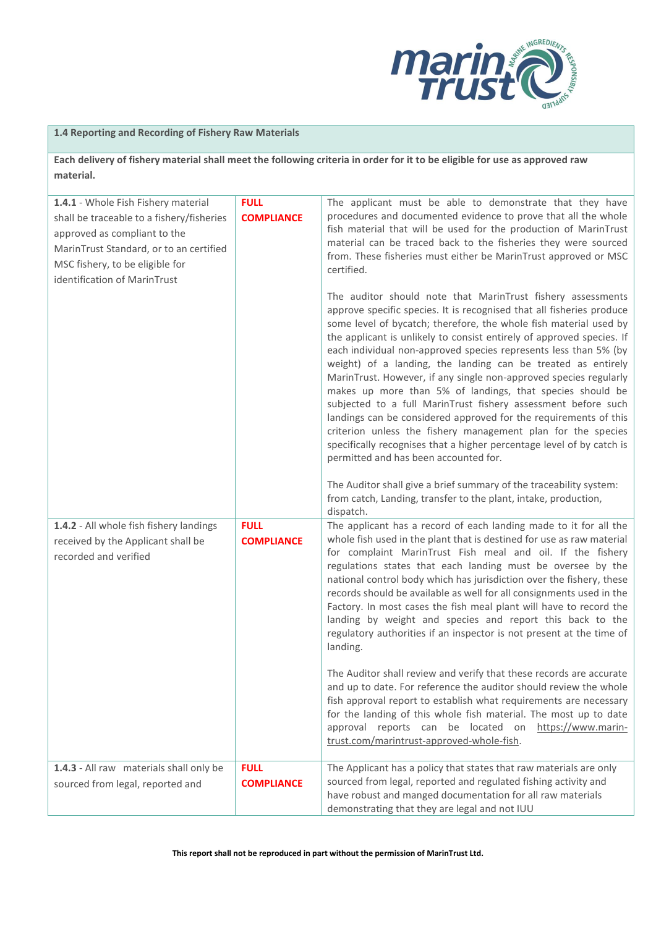

## **1.4 Reporting and Recording of Fishery Raw Materials**

**Each delivery of fishery material shall meet the following criteria in order for it to be eligible for use as approved raw material.**

| 1.4.1 - Whole Fish Fishery material<br>shall be traceable to a fishery/fisheries<br>approved as compliant to the<br>MarinTrust Standard, or to an certified<br>MSC fishery, to be eligible for<br>identification of MarinTrust | <b>FULL</b><br><b>COMPLIANCE</b> | The applicant must be able to demonstrate that they have<br>procedures and documented evidence to prove that all the whole<br>fish material that will be used for the production of MarinTrust<br>material can be traced back to the fisheries they were sourced<br>from. These fisheries must either be MarinTrust approved or MSC<br>certified.<br>The auditor should note that MarinTrust fishery assessments<br>approve specific species. It is recognised that all fisheries produce                                                                                                                                                                                                                                               |
|--------------------------------------------------------------------------------------------------------------------------------------------------------------------------------------------------------------------------------|----------------------------------|-----------------------------------------------------------------------------------------------------------------------------------------------------------------------------------------------------------------------------------------------------------------------------------------------------------------------------------------------------------------------------------------------------------------------------------------------------------------------------------------------------------------------------------------------------------------------------------------------------------------------------------------------------------------------------------------------------------------------------------------|
|                                                                                                                                                                                                                                |                                  | some level of bycatch; therefore, the whole fish material used by<br>the applicant is unlikely to consist entirely of approved species. If<br>each individual non-approved species represents less than 5% (by<br>weight) of a landing, the landing can be treated as entirely<br>MarinTrust. However, if any single non-approved species regularly<br>makes up more than 5% of landings, that species should be<br>subjected to a full MarinTrust fishery assessment before such<br>landings can be considered approved for the requirements of this<br>criterion unless the fishery management plan for the species<br>specifically recognises that a higher percentage level of by catch is<br>permitted and has been accounted for. |
|                                                                                                                                                                                                                                |                                  | The Auditor shall give a brief summary of the traceability system:<br>from catch, Landing, transfer to the plant, intake, production,<br>dispatch.                                                                                                                                                                                                                                                                                                                                                                                                                                                                                                                                                                                      |
| 1.4.2 - All whole fish fishery landings<br>received by the Applicant shall be<br>recorded and verified                                                                                                                         | <b>FULL</b><br><b>COMPLIANCE</b> | The applicant has a record of each landing made to it for all the<br>whole fish used in the plant that is destined for use as raw material<br>for complaint MarinTrust Fish meal and oil. If the fishery<br>regulations states that each landing must be oversee by the<br>national control body which has jurisdiction over the fishery, these<br>records should be available as well for all consignments used in the<br>Factory. In most cases the fish meal plant will have to record the<br>landing by weight and species and report this back to the<br>regulatory authorities if an inspector is not present at the time of<br>landing.                                                                                          |
|                                                                                                                                                                                                                                |                                  | The Auditor shall review and verify that these records are accurate<br>and up to date. For reference the auditor should review the whole<br>fish approval report to establish what requirements are necessary<br>for the landing of this whole fish material. The most up to date<br>approval reports can be located on https://www.marin-<br>trust.com/marintrust-approved-whole-fish.                                                                                                                                                                                                                                                                                                                                                 |
| 1.4.3 - All raw materials shall only be<br>sourced from legal, reported and                                                                                                                                                    | <b>FULL</b><br><b>COMPLIANCE</b> | The Applicant has a policy that states that raw materials are only<br>sourced from legal, reported and regulated fishing activity and<br>have robust and manged documentation for all raw materials<br>demonstrating that they are legal and not IUU                                                                                                                                                                                                                                                                                                                                                                                                                                                                                    |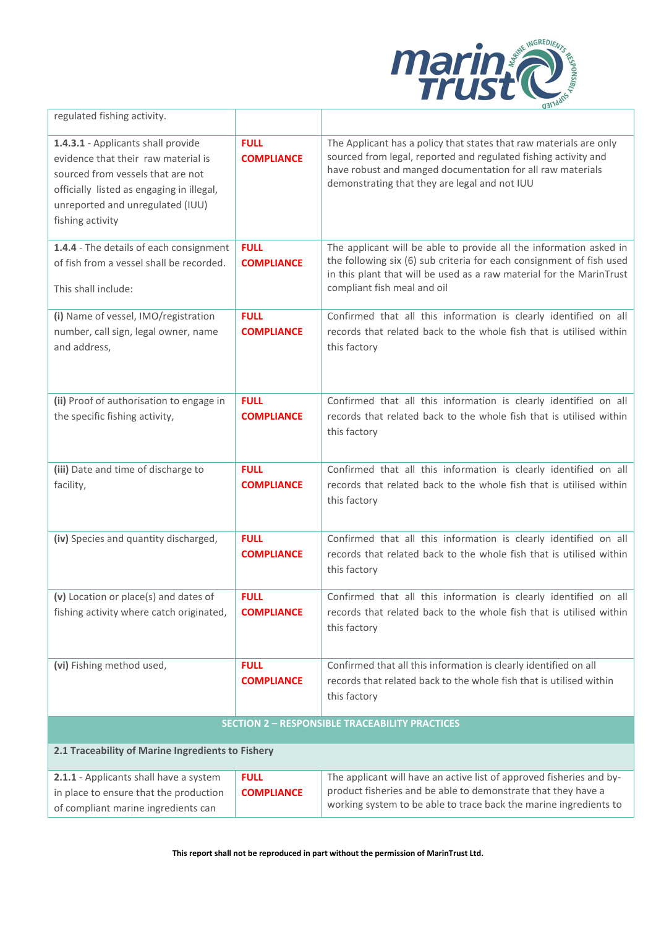

| regulated fishing activity.                                                                                                                                                                                         |                                  |                                                                                                                                                                                                                                                      |
|---------------------------------------------------------------------------------------------------------------------------------------------------------------------------------------------------------------------|----------------------------------|------------------------------------------------------------------------------------------------------------------------------------------------------------------------------------------------------------------------------------------------------|
| 1.4.3.1 - Applicants shall provide<br>evidence that their raw material is<br>sourced from vessels that are not<br>officially listed as engaging in illegal,<br>unreported and unregulated (IUU)<br>fishing activity | <b>FULL</b><br><b>COMPLIANCE</b> | The Applicant has a policy that states that raw materials are only<br>sourced from legal, reported and regulated fishing activity and<br>have robust and manged documentation for all raw materials<br>demonstrating that they are legal and not IUU |
| 1.4.4 - The details of each consignment<br>of fish from a vessel shall be recorded.<br>This shall include:                                                                                                          | <b>FULL</b><br><b>COMPLIANCE</b> | The applicant will be able to provide all the information asked in<br>the following six (6) sub criteria for each consignment of fish used<br>in this plant that will be used as a raw material for the MarinTrust<br>compliant fish meal and oil    |
| (i) Name of vessel, IMO/registration<br>number, call sign, legal owner, name<br>and address,                                                                                                                        | <b>FULL</b><br><b>COMPLIANCE</b> | Confirmed that all this information is clearly identified on all<br>records that related back to the whole fish that is utilised within<br>this factory                                                                                              |
| (ii) Proof of authorisation to engage in<br>the specific fishing activity,                                                                                                                                          | <b>FULL</b><br><b>COMPLIANCE</b> | Confirmed that all this information is clearly identified on all<br>records that related back to the whole fish that is utilised within<br>this factory                                                                                              |
| (iii) Date and time of discharge to<br>facility,                                                                                                                                                                    | <b>FULL</b><br><b>COMPLIANCE</b> | Confirmed that all this information is clearly identified on all<br>records that related back to the whole fish that is utilised within<br>this factory                                                                                              |
| (iv) Species and quantity discharged,                                                                                                                                                                               | <b>FULL</b><br><b>COMPLIANCE</b> | Confirmed that all this information is clearly identified on all<br>records that related back to the whole fish that is utilised within<br>this factory                                                                                              |
| (v) Location or place(s) and dates of<br>fishing activity where catch originated,                                                                                                                                   | <b>FULL</b><br><b>COMPLIANCE</b> | Confirmed that all this information is clearly identified on all<br>records that related back to the whole fish that is utilised within<br>this factory                                                                                              |
| (vi) Fishing method used,                                                                                                                                                                                           | <b>FULL</b><br><b>COMPLIANCE</b> | Confirmed that all this information is clearly identified on all<br>records that related back to the whole fish that is utilised within<br>this factory                                                                                              |
|                                                                                                                                                                                                                     |                                  | <b>SECTION 2 - RESPONSIBLE TRACEABILITY PRACTICES</b>                                                                                                                                                                                                |
| 2.1 Traceability of Marine Ingredients to Fishery                                                                                                                                                                   |                                  |                                                                                                                                                                                                                                                      |
| 2.1.1 - Applicants shall have a system<br>in place to ensure that the production<br>of compliant marine ingredients can                                                                                             | <b>FULL</b><br><b>COMPLIANCE</b> | The applicant will have an active list of approved fisheries and by-<br>product fisheries and be able to demonstrate that they have a<br>working system to be able to trace back the marine ingredients to                                           |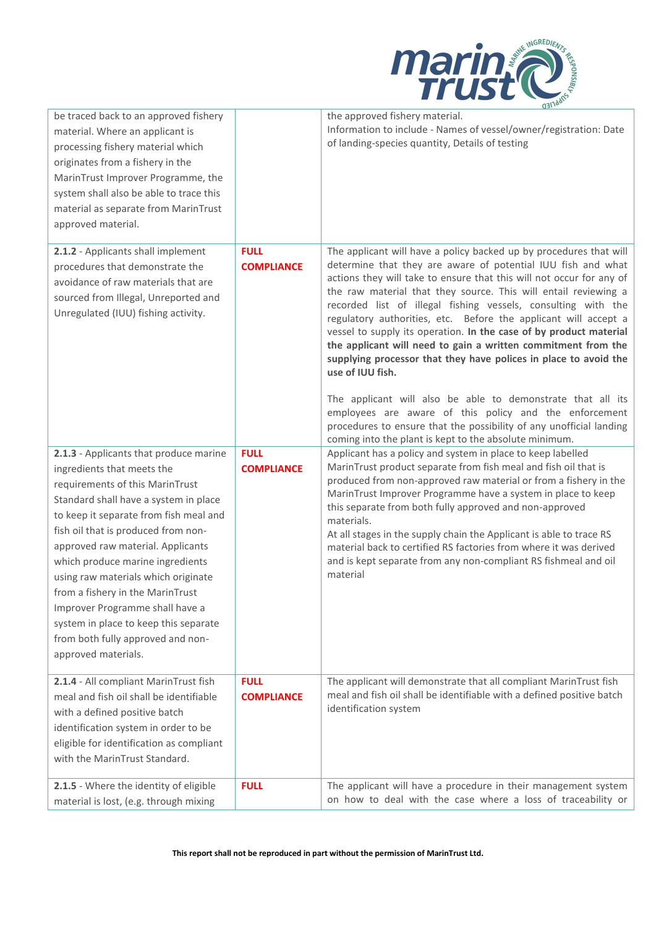

| be traced back to an approved fishery<br>material. Where an applicant is<br>processing fishery material which<br>originates from a fishery in the<br>MarinTrust Improver Programme, the<br>system shall also be able to trace this<br>material as separate from MarinTrust<br>approved material.                                                                                                                                                                                                                              |                                  | the approved fishery material.<br>Information to include - Names of vessel/owner/registration: Date<br>of landing-species quantity, Details of testing                                                                                                                                                                                                                                                                                                                                                                                                                                                                                                                                                                                                                                                                                                                                                     |
|-------------------------------------------------------------------------------------------------------------------------------------------------------------------------------------------------------------------------------------------------------------------------------------------------------------------------------------------------------------------------------------------------------------------------------------------------------------------------------------------------------------------------------|----------------------------------|------------------------------------------------------------------------------------------------------------------------------------------------------------------------------------------------------------------------------------------------------------------------------------------------------------------------------------------------------------------------------------------------------------------------------------------------------------------------------------------------------------------------------------------------------------------------------------------------------------------------------------------------------------------------------------------------------------------------------------------------------------------------------------------------------------------------------------------------------------------------------------------------------------|
| 2.1.2 - Applicants shall implement<br>procedures that demonstrate the<br>avoidance of raw materials that are<br>sourced from Illegal, Unreported and<br>Unregulated (IUU) fishing activity.                                                                                                                                                                                                                                                                                                                                   | <b>FULL</b><br><b>COMPLIANCE</b> | The applicant will have a policy backed up by procedures that will<br>determine that they are aware of potential IUU fish and what<br>actions they will take to ensure that this will not occur for any of<br>the raw material that they source. This will entail reviewing a<br>recorded list of illegal fishing vessels, consulting with the<br>regulatory authorities, etc. Before the applicant will accept a<br>vessel to supply its operation. In the case of by product material<br>the applicant will need to gain a written commitment from the<br>supplying processor that they have polices in place to avoid the<br>use of IUU fish.<br>The applicant will also be able to demonstrate that all its<br>employees are aware of this policy and the enforcement<br>procedures to ensure that the possibility of any unofficial landing<br>coming into the plant is kept to the absolute minimum. |
| 2.1.3 - Applicants that produce marine<br>ingredients that meets the<br>requirements of this MarinTrust<br>Standard shall have a system in place<br>to keep it separate from fish meal and<br>fish oil that is produced from non-<br>approved raw material. Applicants<br>which produce marine ingredients<br>using raw materials which originate<br>from a fishery in the MarinTrust<br>Improver Programme shall have a<br>system in place to keep this separate<br>from both fully approved and non-<br>approved materials. | <b>FULL</b><br><b>COMPLIANCE</b> | Applicant has a policy and system in place to keep labelled<br>MarinTrust product separate from fish meal and fish oil that is<br>produced from non-approved raw material or from a fishery in the<br>MarinTrust Improver Programme have a system in place to keep<br>this separate from both fully approved and non-approved<br>materials.<br>At all stages in the supply chain the Applicant is able to trace RS<br>material back to certified RS factories from where it was derived<br>and is kept separate from any non-compliant RS fishmeal and oil<br>material                                                                                                                                                                                                                                                                                                                                     |
| 2.1.4 - All compliant MarinTrust fish<br>meal and fish oil shall be identifiable<br>with a defined positive batch<br>identification system in order to be<br>eligible for identification as compliant<br>with the MarinTrust Standard.                                                                                                                                                                                                                                                                                        | <b>FULL</b><br><b>COMPLIANCE</b> | The applicant will demonstrate that all compliant MarinTrust fish<br>meal and fish oil shall be identifiable with a defined positive batch<br>identification system                                                                                                                                                                                                                                                                                                                                                                                                                                                                                                                                                                                                                                                                                                                                        |
| 2.1.5 - Where the identity of eligible<br>material is lost, (e.g. through mixing                                                                                                                                                                                                                                                                                                                                                                                                                                              | <b>FULL</b>                      | The applicant will have a procedure in their management system<br>on how to deal with the case where a loss of traceability or                                                                                                                                                                                                                                                                                                                                                                                                                                                                                                                                                                                                                                                                                                                                                                             |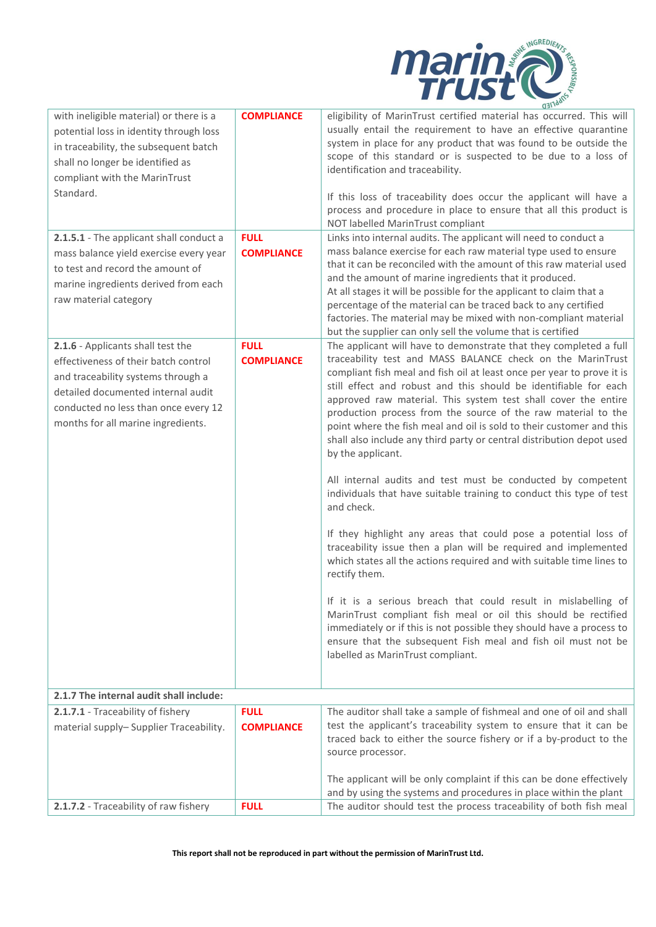

|                                                                                                                                                                                                                                     |                                  | QH1c                                                                                                                                                                                                                                                                                                                                                                                                                                                                                                                                                                                                                                                                                                                                                                                                                                                                                                                                                                                                                                                                                                                                                                                                                                                                                          |
|-------------------------------------------------------------------------------------------------------------------------------------------------------------------------------------------------------------------------------------|----------------------------------|-----------------------------------------------------------------------------------------------------------------------------------------------------------------------------------------------------------------------------------------------------------------------------------------------------------------------------------------------------------------------------------------------------------------------------------------------------------------------------------------------------------------------------------------------------------------------------------------------------------------------------------------------------------------------------------------------------------------------------------------------------------------------------------------------------------------------------------------------------------------------------------------------------------------------------------------------------------------------------------------------------------------------------------------------------------------------------------------------------------------------------------------------------------------------------------------------------------------------------------------------------------------------------------------------|
| with ineligible material) or there is a<br>potential loss in identity through loss<br>in traceability, the subsequent batch<br>shall no longer be identified as<br>compliant with the MarinTrust<br>Standard.                       | <b>COMPLIANCE</b>                | eligibility of MarinTrust certified material has occurred. This will<br>usually entail the requirement to have an effective quarantine<br>system in place for any product that was found to be outside the<br>scope of this standard or is suspected to be due to a loss of<br>identification and traceability.<br>If this loss of traceability does occur the applicant will have a<br>process and procedure in place to ensure that all this product is<br>NOT labelled MarinTrust compliant                                                                                                                                                                                                                                                                                                                                                                                                                                                                                                                                                                                                                                                                                                                                                                                                |
| 2.1.5.1 - The applicant shall conduct a<br>mass balance yield exercise every year<br>to test and record the amount of<br>marine ingredients derived from each<br>raw material category                                              | <b>FULL</b><br><b>COMPLIANCE</b> | Links into internal audits. The applicant will need to conduct a<br>mass balance exercise for each raw material type used to ensure<br>that it can be reconciled with the amount of this raw material used<br>and the amount of marine ingredients that it produced.<br>At all stages it will be possible for the applicant to claim that a<br>percentage of the material can be traced back to any certified<br>factories. The material may be mixed with non-compliant material<br>but the supplier can only sell the volume that is certified                                                                                                                                                                                                                                                                                                                                                                                                                                                                                                                                                                                                                                                                                                                                              |
| 2.1.6 - Applicants shall test the<br>effectiveness of their batch control<br>and traceability systems through a<br>detailed documented internal audit<br>conducted no less than once every 12<br>months for all marine ingredients. | <b>FULL</b><br><b>COMPLIANCE</b> | The applicant will have to demonstrate that they completed a full<br>traceability test and MASS BALANCE check on the MarinTrust<br>compliant fish meal and fish oil at least once per year to prove it is<br>still effect and robust and this should be identifiable for each<br>approved raw material. This system test shall cover the entire<br>production process from the source of the raw material to the<br>point where the fish meal and oil is sold to their customer and this<br>shall also include any third party or central distribution depot used<br>by the applicant.<br>All internal audits and test must be conducted by competent<br>individuals that have suitable training to conduct this type of test<br>and check.<br>If they highlight any areas that could pose a potential loss of<br>traceability issue then a plan will be required and implemented<br>which states all the actions required and with suitable time lines to<br>rectify them.<br>If it is a serious breach that could result in mislabelling of<br>MarinTrust compliant fish meal or oil this should be rectified<br>immediately or if this is not possible they should have a process to<br>ensure that the subsequent Fish meal and fish oil must not be<br>labelled as MarinTrust compliant. |
| 2.1.7 The internal audit shall include:                                                                                                                                                                                             |                                  |                                                                                                                                                                                                                                                                                                                                                                                                                                                                                                                                                                                                                                                                                                                                                                                                                                                                                                                                                                                                                                                                                                                                                                                                                                                                                               |
| 2.1.7.1 - Traceability of fishery                                                                                                                                                                                                   | <b>FULL</b>                      | The auditor shall take a sample of fishmeal and one of oil and shall                                                                                                                                                                                                                                                                                                                                                                                                                                                                                                                                                                                                                                                                                                                                                                                                                                                                                                                                                                                                                                                                                                                                                                                                                          |
| material supply-Supplier Traceability.                                                                                                                                                                                              | <b>COMPLIANCE</b>                | test the applicant's traceability system to ensure that it can be<br>traced back to either the source fishery or if a by-product to the<br>source processor.                                                                                                                                                                                                                                                                                                                                                                                                                                                                                                                                                                                                                                                                                                                                                                                                                                                                                                                                                                                                                                                                                                                                  |
|                                                                                                                                                                                                                                     |                                  | The applicant will be only complaint if this can be done effectively                                                                                                                                                                                                                                                                                                                                                                                                                                                                                                                                                                                                                                                                                                                                                                                                                                                                                                                                                                                                                                                                                                                                                                                                                          |
|                                                                                                                                                                                                                                     |                                  | and by using the systems and procedures in place within the plant                                                                                                                                                                                                                                                                                                                                                                                                                                                                                                                                                                                                                                                                                                                                                                                                                                                                                                                                                                                                                                                                                                                                                                                                                             |
| 2.1.7.2 - Traceability of raw fishery                                                                                                                                                                                               | <b>FULL</b>                      | The auditor should test the process traceability of both fish meal                                                                                                                                                                                                                                                                                                                                                                                                                                                                                                                                                                                                                                                                                                                                                                                                                                                                                                                                                                                                                                                                                                                                                                                                                            |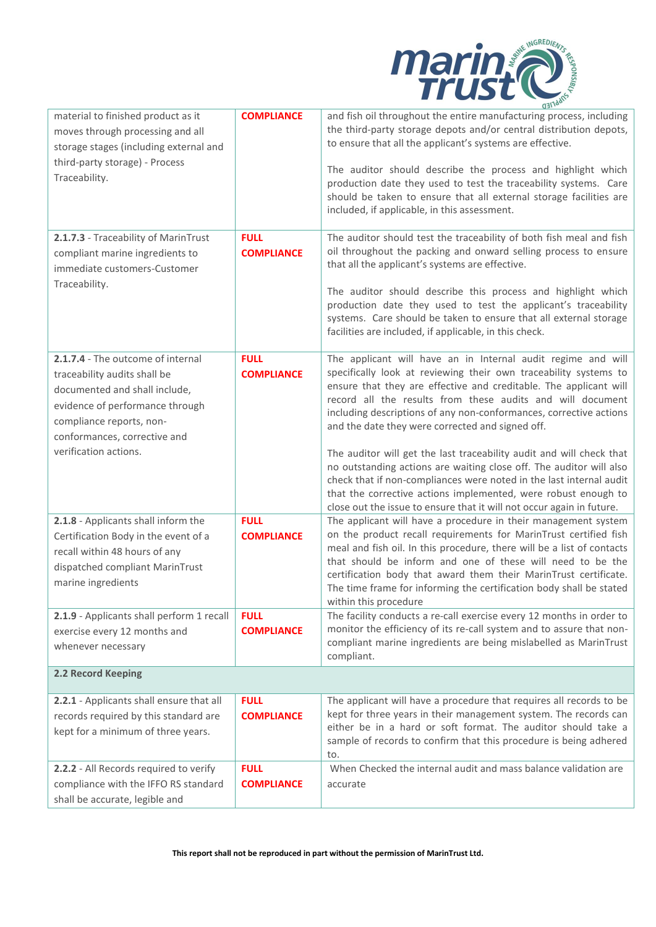

| material to finished product as it<br>moves through processing and all<br>storage stages (including external and<br>third-party storage) - Process<br>Traceability.                                                        | <b>COMPLIANCE</b>                | (14)<br>and fish oil throughout the entire manufacturing process, including<br>the third-party storage depots and/or central distribution depots,<br>to ensure that all the applicant's systems are effective.<br>The auditor should describe the process and highlight which<br>production date they used to test the traceability systems. Care<br>should be taken to ensure that all external storage facilities are<br>included, if applicable, in this assessment.                                                                                                                                                                                                                                                                                        |
|----------------------------------------------------------------------------------------------------------------------------------------------------------------------------------------------------------------------------|----------------------------------|----------------------------------------------------------------------------------------------------------------------------------------------------------------------------------------------------------------------------------------------------------------------------------------------------------------------------------------------------------------------------------------------------------------------------------------------------------------------------------------------------------------------------------------------------------------------------------------------------------------------------------------------------------------------------------------------------------------------------------------------------------------|
| 2.1.7.3 - Traceability of MarinTrust<br>compliant marine ingredients to<br>immediate customers-Customer<br>Traceability.                                                                                                   | <b>FULL</b><br><b>COMPLIANCE</b> | The auditor should test the traceability of both fish meal and fish<br>oil throughout the packing and onward selling process to ensure<br>that all the applicant's systems are effective.<br>The auditor should describe this process and highlight which<br>production date they used to test the applicant's traceability<br>systems. Care should be taken to ensure that all external storage<br>facilities are included, if applicable, in this check.                                                                                                                                                                                                                                                                                                     |
| 2.1.7.4 - The outcome of internal<br>traceability audits shall be<br>documented and shall include,<br>evidence of performance through<br>compliance reports, non-<br>conformances, corrective and<br>verification actions. | <b>FULL</b><br><b>COMPLIANCE</b> | The applicant will have an in Internal audit regime and will<br>specifically look at reviewing their own traceability systems to<br>ensure that they are effective and creditable. The applicant will<br>record all the results from these audits and will document<br>including descriptions of any non-conformances, corrective actions<br>and the date they were corrected and signed off.<br>The auditor will get the last traceability audit and will check that<br>no outstanding actions are waiting close off. The auditor will also<br>check that if non-compliances were noted in the last internal audit<br>that the corrective actions implemented, were robust enough to<br>close out the issue to ensure that it will not occur again in future. |
| 2.1.8 - Applicants shall inform the<br>Certification Body in the event of a<br>recall within 48 hours of any<br>dispatched compliant MarinTrust<br>marine ingredients                                                      | <b>FULL</b><br><b>COMPLIANCE</b> | The applicant will have a procedure in their management system<br>on the product recall requirements for MarinTrust certified fish<br>meal and fish oil. In this procedure, there will be a list of contacts<br>that should be inform and one of these will need to be the<br>certification body that award them their MarinTrust certificate.<br>The time frame for informing the certification body shall be stated<br>within this procedure                                                                                                                                                                                                                                                                                                                 |
| 2.1.9 - Applicants shall perform 1 recall<br>exercise every 12 months and<br>whenever necessary                                                                                                                            | <b>FULL</b><br><b>COMPLIANCE</b> | The facility conducts a re-call exercise every 12 months in order to<br>monitor the efficiency of its re-call system and to assure that non-<br>compliant marine ingredients are being mislabelled as MarinTrust<br>compliant.                                                                                                                                                                                                                                                                                                                                                                                                                                                                                                                                 |
| 2.2 Record Keeping                                                                                                                                                                                                         |                                  |                                                                                                                                                                                                                                                                                                                                                                                                                                                                                                                                                                                                                                                                                                                                                                |
| 2.2.1 - Applicants shall ensure that all<br>records required by this standard are<br>kept for a minimum of three years.                                                                                                    | <b>FULL</b><br><b>COMPLIANCE</b> | The applicant will have a procedure that requires all records to be<br>kept for three years in their management system. The records can<br>either be in a hard or soft format. The auditor should take a<br>sample of records to confirm that this procedure is being adhered<br>to.                                                                                                                                                                                                                                                                                                                                                                                                                                                                           |
| 2.2.2 - All Records required to verify<br>compliance with the IFFO RS standard<br>shall be accurate, legible and                                                                                                           | <b>FULL</b><br><b>COMPLIANCE</b> | When Checked the internal audit and mass balance validation are<br>accurate                                                                                                                                                                                                                                                                                                                                                                                                                                                                                                                                                                                                                                                                                    |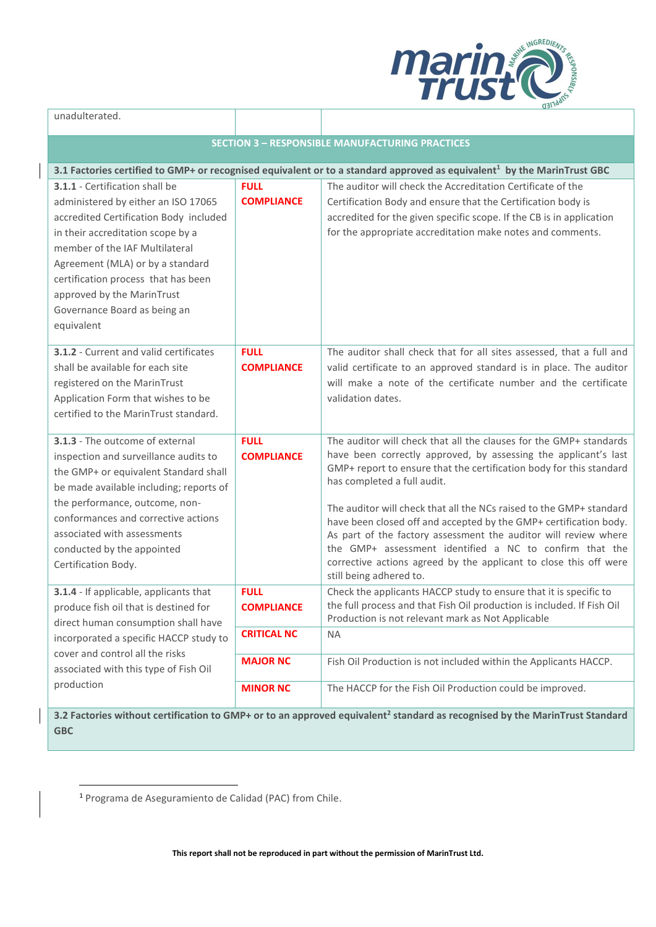

| unadulterated.                                                                                                                                                                                                                                                                                                                                |                                  |                                                                                                                                                                                                                                                                                                                                                                                                                                                                                                                                                                                                                       |  |
|-----------------------------------------------------------------------------------------------------------------------------------------------------------------------------------------------------------------------------------------------------------------------------------------------------------------------------------------------|----------------------------------|-----------------------------------------------------------------------------------------------------------------------------------------------------------------------------------------------------------------------------------------------------------------------------------------------------------------------------------------------------------------------------------------------------------------------------------------------------------------------------------------------------------------------------------------------------------------------------------------------------------------------|--|
| <b>SECTION 3 - RESPONSIBLE MANUFACTURING PRACTICES</b>                                                                                                                                                                                                                                                                                        |                                  |                                                                                                                                                                                                                                                                                                                                                                                                                                                                                                                                                                                                                       |  |
| 3.1 Factories certified to GMP+ or recognised equivalent or to a standard approved as equivalent <sup>1</sup> by the MarinTrust GBC                                                                                                                                                                                                           |                                  |                                                                                                                                                                                                                                                                                                                                                                                                                                                                                                                                                                                                                       |  |
| 3.1.1 - Certification shall be<br>administered by either an ISO 17065<br>accredited Certification Body included<br>in their accreditation scope by a<br>member of the IAF Multilateral<br>Agreement (MLA) or by a standard<br>certification process that has been<br>approved by the MarinTrust<br>Governance Board as being an<br>equivalent | <b>FULL</b><br><b>COMPLIANCE</b> | The auditor will check the Accreditation Certificate of the<br>Certification Body and ensure that the Certification body is<br>accredited for the given specific scope. If the CB is in application<br>for the appropriate accreditation make notes and comments.                                                                                                                                                                                                                                                                                                                                                     |  |
| 3.1.2 - Current and valid certificates<br>shall be available for each site<br>registered on the MarinTrust<br>Application Form that wishes to be<br>certified to the MarinTrust standard.                                                                                                                                                     | <b>FULL</b><br><b>COMPLIANCE</b> | The auditor shall check that for all sites assessed, that a full and<br>valid certificate to an approved standard is in place. The auditor<br>will make a note of the certificate number and the certificate<br>validation dates.                                                                                                                                                                                                                                                                                                                                                                                     |  |
| 3.1.3 - The outcome of external<br>inspection and surveillance audits to<br>the GMP+ or equivalent Standard shall<br>be made available including; reports of<br>the performance, outcome, non-<br>conformances and corrective actions<br>associated with assessments<br>conducted by the appointed<br>Certification Body.                     | <b>FULL</b><br><b>COMPLIANCE</b> | The auditor will check that all the clauses for the GMP+ standards<br>have been correctly approved, by assessing the applicant's last<br>GMP+ report to ensure that the certification body for this standard<br>has completed a full audit.<br>The auditor will check that all the NCs raised to the GMP+ standard<br>have been closed off and accepted by the GMP+ certification body.<br>As part of the factory assessment the auditor will review where<br>the GMP+ assessment identified a NC to confirm that the<br>corrective actions agreed by the applicant to close this off were<br>still being adhered to. |  |
| 3.1.4 - If applicable, applicants that<br>produce fish oil that is destined for<br>direct human consumption shall have                                                                                                                                                                                                                        | <b>FULL</b><br><b>COMPLIANCE</b> | Check the applicants HACCP study to ensure that it is specific to<br>the full process and that Fish Oil production is included. If Fish Oil<br>Production is not relevant mark as Not Applicable                                                                                                                                                                                                                                                                                                                                                                                                                      |  |
| incorporated a specific HACCP study to                                                                                                                                                                                                                                                                                                        | <b>CRITICAL NC</b>               | <b>NA</b>                                                                                                                                                                                                                                                                                                                                                                                                                                                                                                                                                                                                             |  |
| cover and control all the risks<br>associated with this type of Fish Oil                                                                                                                                                                                                                                                                      | <b>MAJOR NC</b>                  | Fish Oil Production is not included within the Applicants HACCP.                                                                                                                                                                                                                                                                                                                                                                                                                                                                                                                                                      |  |
| production                                                                                                                                                                                                                                                                                                                                    | <b>MINOR NC</b>                  | The HACCP for the Fish Oil Production could be improved.<br>2.2. Eastering without contification to CMD Lar to an annual oswivelent? standard as recognized by the MarinTrust Standard                                                                                                                                                                                                                                                                                                                                                                                                                                |  |

**3.2 Factories without certification to GMP+ or to an approved equivalent<sup>2</sup> standard as recognised by the MarinTrust Standard GBC**

<sup>1</sup> Programa de Aseguramiento de Calidad (PAC) from Chile.

**This report shall not be reproduced in part without the permission of MarinTrust Ltd.**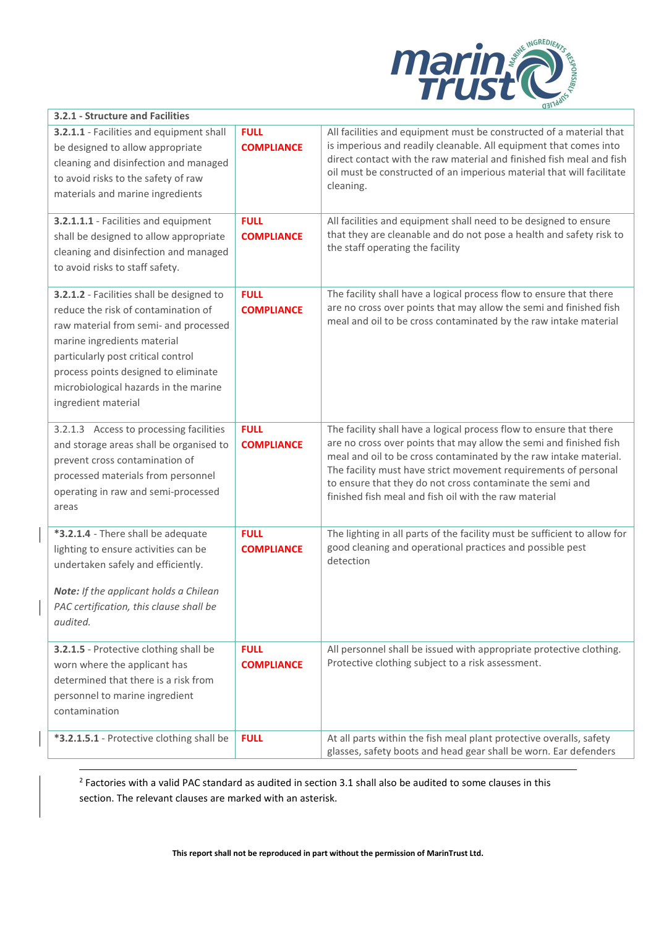

| 3.2.1 - Structure and Facilities                                                                                                                                                                                                                                                                       |                                  |                                                                                                                                                                                                                                                                                                                                                                                                         |
|--------------------------------------------------------------------------------------------------------------------------------------------------------------------------------------------------------------------------------------------------------------------------------------------------------|----------------------------------|---------------------------------------------------------------------------------------------------------------------------------------------------------------------------------------------------------------------------------------------------------------------------------------------------------------------------------------------------------------------------------------------------------|
| 3.2.1.1 - Facilities and equipment shall<br>be designed to allow appropriate<br>cleaning and disinfection and managed<br>to avoid risks to the safety of raw<br>materials and marine ingredients                                                                                                       | <b>FULL</b><br><b>COMPLIANCE</b> | All facilities and equipment must be constructed of a material that<br>is imperious and readily cleanable. All equipment that comes into<br>direct contact with the raw material and finished fish meal and fish<br>oil must be constructed of an imperious material that will facilitate<br>cleaning.                                                                                                  |
| 3.2.1.1.1 - Facilities and equipment<br>shall be designed to allow appropriate<br>cleaning and disinfection and managed<br>to avoid risks to staff safety.                                                                                                                                             | <b>FULL</b><br><b>COMPLIANCE</b> | All facilities and equipment shall need to be designed to ensure<br>that they are cleanable and do not pose a health and safety risk to<br>the staff operating the facility                                                                                                                                                                                                                             |
| 3.2.1.2 - Facilities shall be designed to<br>reduce the risk of contamination of<br>raw material from semi- and processed<br>marine ingredients material<br>particularly post critical control<br>process points designed to eliminate<br>microbiological hazards in the marine<br>ingredient material | <b>FULL</b><br><b>COMPLIANCE</b> | The facility shall have a logical process flow to ensure that there<br>are no cross over points that may allow the semi and finished fish<br>meal and oil to be cross contaminated by the raw intake material                                                                                                                                                                                           |
| 3.2.1.3 Access to processing facilities<br>and storage areas shall be organised to<br>prevent cross contamination of<br>processed materials from personnel<br>operating in raw and semi-processed<br>areas                                                                                             | <b>FULL</b><br><b>COMPLIANCE</b> | The facility shall have a logical process flow to ensure that there<br>are no cross over points that may allow the semi and finished fish<br>meal and oil to be cross contaminated by the raw intake material.<br>The facility must have strict movement requirements of personal<br>to ensure that they do not cross contaminate the semi and<br>finished fish meal and fish oil with the raw material |
| *3.2.1.4 - There shall be adequate<br>lighting to ensure activities can be<br>undertaken safely and efficiently.<br>Note: If the applicant holds a Chilean<br>PAC certification, this clause shall be<br>audited.                                                                                      | <b>FULL</b><br><b>COMPLIANCE</b> | The lighting in all parts of the facility must be sufficient to allow for<br>good cleaning and operational practices and possible pest<br>detection                                                                                                                                                                                                                                                     |
| 3.2.1.5 - Protective clothing shall be<br>worn where the applicant has<br>determined that there is a risk from<br>personnel to marine ingredient<br>contamination                                                                                                                                      | <b>FULL</b><br><b>COMPLIANCE</b> | All personnel shall be issued with appropriate protective clothing.<br>Protective clothing subject to a risk assessment.                                                                                                                                                                                                                                                                                |
| *3.2.1.5.1 - Protective clothing shall be                                                                                                                                                                                                                                                              | <b>FULL</b>                      | At all parts within the fish meal plant protective overalls, safety<br>glasses, safety boots and head gear shall be worn. Ear defenders                                                                                                                                                                                                                                                                 |

 $2$  Factories with a valid PAC standard as audited in section 3.1 shall also be audited to some clauses in this section. The relevant clauses are marked with an asterisk.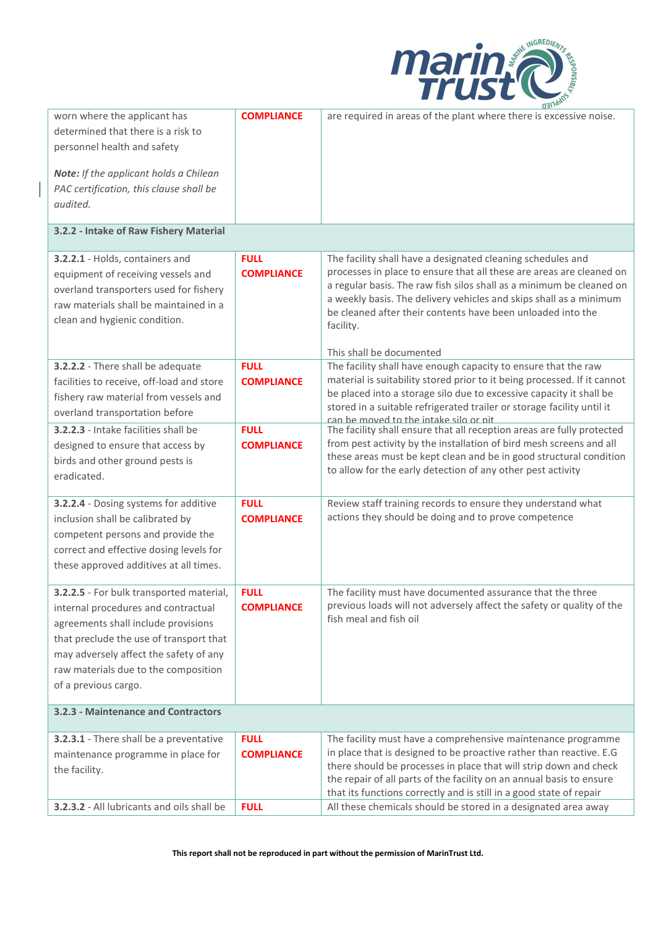

|                                                                                                                                                                                                                                                                             |                                  | $dJ1$ <sub>lac</sub>                                                                                                                                                                                                                                                                                                                                                                      |
|-----------------------------------------------------------------------------------------------------------------------------------------------------------------------------------------------------------------------------------------------------------------------------|----------------------------------|-------------------------------------------------------------------------------------------------------------------------------------------------------------------------------------------------------------------------------------------------------------------------------------------------------------------------------------------------------------------------------------------|
| worn where the applicant has<br>determined that there is a risk to<br>personnel health and safety<br>Note: If the applicant holds a Chilean<br>PAC certification, this clause shall be<br>audited.                                                                          | <b>COMPLIANCE</b>                | are required in areas of the plant where there is excessive noise.                                                                                                                                                                                                                                                                                                                        |
| 3.2.2 - Intake of Raw Fishery Material                                                                                                                                                                                                                                      |                                  |                                                                                                                                                                                                                                                                                                                                                                                           |
| 3.2.2.1 - Holds, containers and<br>equipment of receiving vessels and<br>overland transporters used for fishery<br>raw materials shall be maintained in a<br>clean and hygienic condition.                                                                                  | <b>FULL</b><br><b>COMPLIANCE</b> | The facility shall have a designated cleaning schedules and<br>processes in place to ensure that all these are areas are cleaned on<br>a regular basis. The raw fish silos shall as a minimum be cleaned on<br>a weekly basis. The delivery vehicles and skips shall as a minimum<br>be cleaned after their contents have been unloaded into the<br>facility.<br>This shall be documented |
| 3.2.2.2 - There shall be adequate<br>facilities to receive, off-load and store<br>fishery raw material from vessels and<br>overland transportation before                                                                                                                   | <b>FULL</b><br><b>COMPLIANCE</b> | The facility shall have enough capacity to ensure that the raw<br>material is suitability stored prior to it being processed. If it cannot<br>be placed into a storage silo due to excessive capacity it shall be<br>stored in a suitable refrigerated trailer or storage facility until it<br>can be moved to the intake silo or nit                                                     |
| 3.2.2.3 - Intake facilities shall be<br>designed to ensure that access by<br>birds and other ground pests is<br>eradicated.                                                                                                                                                 | <b>FULL</b><br><b>COMPLIANCE</b> | The facility shall ensure that all reception areas are fully protected<br>from pest activity by the installation of bird mesh screens and all<br>these areas must be kept clean and be in good structural condition<br>to allow for the early detection of any other pest activity                                                                                                        |
| 3.2.2.4 - Dosing systems for additive<br>inclusion shall be calibrated by<br>competent persons and provide the<br>correct and effective dosing levels for<br>these approved additives at all times.                                                                         | <b>FULL</b><br><b>COMPLIANCE</b> | Review staff training records to ensure they understand what<br>actions they should be doing and to prove competence                                                                                                                                                                                                                                                                      |
| 3.2.2.5 - For bulk transported material,<br>internal procedures and contractual<br>agreements shall include provisions<br>that preclude the use of transport that<br>may adversely affect the safety of any<br>raw materials due to the composition<br>of a previous cargo. | <b>FULL</b><br><b>COMPLIANCE</b> | The facility must have documented assurance that the three<br>previous loads will not adversely affect the safety or quality of the<br>fish meal and fish oil                                                                                                                                                                                                                             |
| 3.2.3 - Maintenance and Contractors                                                                                                                                                                                                                                         |                                  |                                                                                                                                                                                                                                                                                                                                                                                           |
| 3.2.3.1 - There shall be a preventative<br>maintenance programme in place for<br>the facility.                                                                                                                                                                              | <b>FULL</b><br><b>COMPLIANCE</b> | The facility must have a comprehensive maintenance programme<br>in place that is designed to be proactive rather than reactive. E.G<br>there should be processes in place that will strip down and check<br>the repair of all parts of the facility on an annual basis to ensure<br>that its functions correctly and is still in a good state of repair                                   |
| 3.2.3.2 - All lubricants and oils shall be                                                                                                                                                                                                                                  | <b>FULL</b>                      | All these chemicals should be stored in a designated area away                                                                                                                                                                                                                                                                                                                            |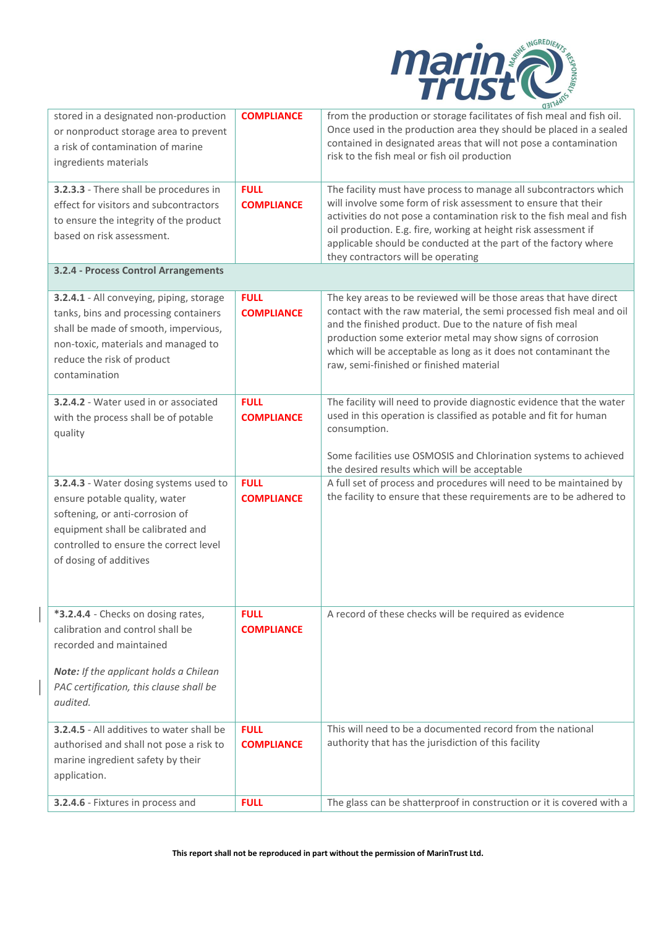

| stored in a designated non-production<br>or nonproduct storage area to prevent<br>a risk of contamination of marine<br>ingredients materials                                                                        | <b>COMPLIANCE</b>                | $\mathbf{u}$<br>from the production or storage facilitates of fish meal and fish oil.<br>Once used in the production area they should be placed in a sealed<br>contained in designated areas that will not pose a contamination<br>risk to the fish meal or fish oil production                                                                                                          |
|---------------------------------------------------------------------------------------------------------------------------------------------------------------------------------------------------------------------|----------------------------------|------------------------------------------------------------------------------------------------------------------------------------------------------------------------------------------------------------------------------------------------------------------------------------------------------------------------------------------------------------------------------------------|
| 3.2.3.3 - There shall be procedures in<br>effect for visitors and subcontractors<br>to ensure the integrity of the product<br>based on risk assessment.                                                             | <b>FULL</b><br><b>COMPLIANCE</b> | The facility must have process to manage all subcontractors which<br>will involve some form of risk assessment to ensure that their<br>activities do not pose a contamination risk to the fish meal and fish<br>oil production. E.g. fire, working at height risk assessment if<br>applicable should be conducted at the part of the factory where<br>they contractors will be operating |
| 3.2.4 - Process Control Arrangements                                                                                                                                                                                |                                  |                                                                                                                                                                                                                                                                                                                                                                                          |
| 3.2.4.1 - All conveying, piping, storage<br>tanks, bins and processing containers<br>shall be made of smooth, impervious,<br>non-toxic, materials and managed to<br>reduce the risk of product<br>contamination     | <b>FULL</b><br><b>COMPLIANCE</b> | The key areas to be reviewed will be those areas that have direct<br>contact with the raw material, the semi processed fish meal and oil<br>and the finished product. Due to the nature of fish meal<br>production some exterior metal may show signs of corrosion<br>which will be acceptable as long as it does not contaminant the<br>raw, semi-finished or finished material         |
| 3.2.4.2 - Water used in or associated<br>with the process shall be of potable<br>quality                                                                                                                            | <b>FULL</b><br><b>COMPLIANCE</b> | The facility will need to provide diagnostic evidence that the water<br>used in this operation is classified as potable and fit for human<br>consumption.<br>Some facilities use OSMOSIS and Chlorination systems to achieved                                                                                                                                                            |
| 3.2.4.3 - Water dosing systems used to<br>ensure potable quality, water<br>softening, or anti-corrosion of<br>equipment shall be calibrated and<br>controlled to ensure the correct level<br>of dosing of additives | <b>FULL</b><br><b>COMPLIANCE</b> | the desired results which will be acceptable<br>A full set of process and procedures will need to be maintained by<br>the facility to ensure that these requirements are to be adhered to                                                                                                                                                                                                |
| *3.2.4.4 - Checks on dosing rates,<br>calibration and control shall be<br>recorded and maintained<br>Note: If the applicant holds a Chilean<br>PAC certification, this clause shall be<br>audited.                  | <b>FULL</b><br><b>COMPLIANCE</b> | A record of these checks will be required as evidence                                                                                                                                                                                                                                                                                                                                    |
| 3.2.4.5 - All additives to water shall be<br>authorised and shall not pose a risk to<br>marine ingredient safety by their<br>application.                                                                           | <b>FULL</b><br><b>COMPLIANCE</b> | This will need to be a documented record from the national<br>authority that has the jurisdiction of this facility                                                                                                                                                                                                                                                                       |
| 3.2.4.6 - Fixtures in process and                                                                                                                                                                                   | <b>FULL</b>                      | The glass can be shatterproof in construction or it is covered with a                                                                                                                                                                                                                                                                                                                    |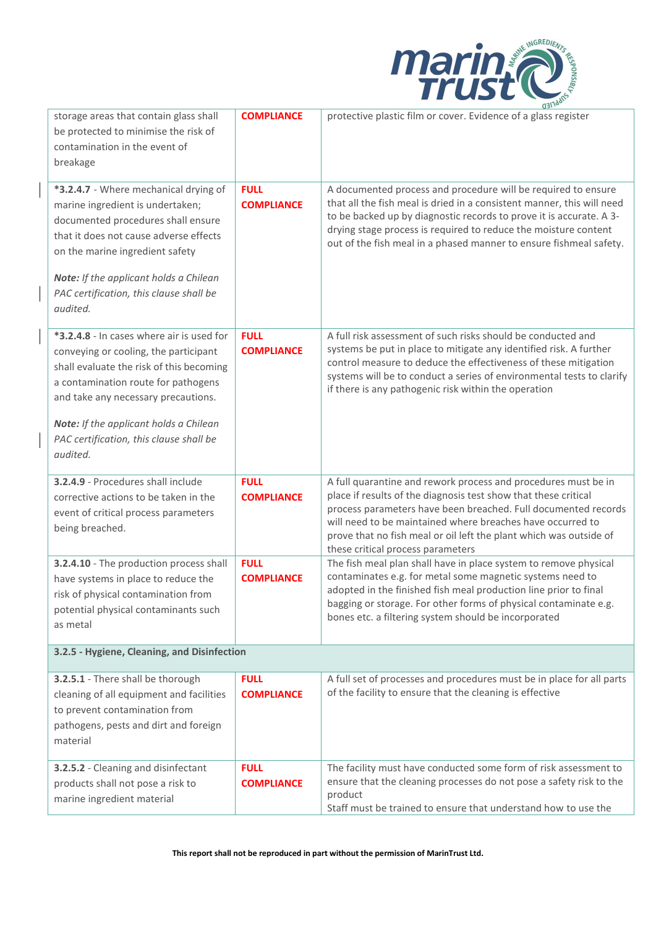

| storage areas that contain glass shall<br>be protected to minimise the risk of<br>contamination in the event of<br>breakage                                                                                                                                                                                   | <b>COMPLIANCE</b>                | protective plastic film or cover. Evidence of a glass register                                                                                                                                                                                                                                                                                                               |  |
|---------------------------------------------------------------------------------------------------------------------------------------------------------------------------------------------------------------------------------------------------------------------------------------------------------------|----------------------------------|------------------------------------------------------------------------------------------------------------------------------------------------------------------------------------------------------------------------------------------------------------------------------------------------------------------------------------------------------------------------------|--|
| *3.2.4.7 - Where mechanical drying of<br>marine ingredient is undertaken;<br>documented procedures shall ensure<br>that it does not cause adverse effects<br>on the marine ingredient safety<br>Note: If the applicant holds a Chilean<br>PAC certification, this clause shall be<br>audited.                 | <b>FULL</b><br><b>COMPLIANCE</b> | A documented process and procedure will be required to ensure<br>that all the fish meal is dried in a consistent manner, this will need<br>to be backed up by diagnostic records to prove it is accurate. A 3-<br>drying stage process is required to reduce the moisture content<br>out of the fish meal in a phased manner to ensure fishmeal safety.                      |  |
| *3.2.4.8 - In cases where air is used for<br>conveying or cooling, the participant<br>shall evaluate the risk of this becoming<br>a contamination route for pathogens<br>and take any necessary precautions.<br>Note: If the applicant holds a Chilean<br>PAC certification, this clause shall be<br>audited. | <b>FULL</b><br><b>COMPLIANCE</b> | A full risk assessment of such risks should be conducted and<br>systems be put in place to mitigate any identified risk. A further<br>control measure to deduce the effectiveness of these mitigation<br>systems will be to conduct a series of environmental tests to clarify<br>if there is any pathogenic risk within the operation                                       |  |
| 3.2.4.9 - Procedures shall include<br>corrective actions to be taken in the<br>event of critical process parameters<br>being breached.                                                                                                                                                                        | <b>FULL</b><br><b>COMPLIANCE</b> | A full quarantine and rework process and procedures must be in<br>place if results of the diagnosis test show that these critical<br>process parameters have been breached. Full documented records<br>will need to be maintained where breaches have occurred to<br>prove that no fish meal or oil left the plant which was outside of<br>these critical process parameters |  |
| 3.2.4.10 - The production process shall<br>have systems in place to reduce the<br>risk of physical contamination from<br>potential physical contaminants such<br>as metal                                                                                                                                     | <b>FULL</b><br><b>COMPLIANCE</b> | The fish meal plan shall have in place system to remove physical<br>contaminates e.g. for metal some magnetic systems need to<br>adopted in the finished fish meal production line prior to final<br>bagging or storage. For other forms of physical contaminate e.g.<br>bones etc. a filtering system should be incorporated                                                |  |
| 3.2.5 - Hygiene, Cleaning, and Disinfection                                                                                                                                                                                                                                                                   |                                  |                                                                                                                                                                                                                                                                                                                                                                              |  |
| 3.2.5.1 - There shall be thorough<br>cleaning of all equipment and facilities<br>to prevent contamination from<br>pathogens, pests and dirt and foreign<br>material                                                                                                                                           | <b>FULL</b><br><b>COMPLIANCE</b> | A full set of processes and procedures must be in place for all parts<br>of the facility to ensure that the cleaning is effective                                                                                                                                                                                                                                            |  |
| 3.2.5.2 - Cleaning and disinfectant<br>products shall not pose a risk to<br>marine ingredient material                                                                                                                                                                                                        | <b>FULL</b><br><b>COMPLIANCE</b> | The facility must have conducted some form of risk assessment to<br>ensure that the cleaning processes do not pose a safety risk to the<br>product<br>Staff must be trained to ensure that understand how to use the                                                                                                                                                         |  |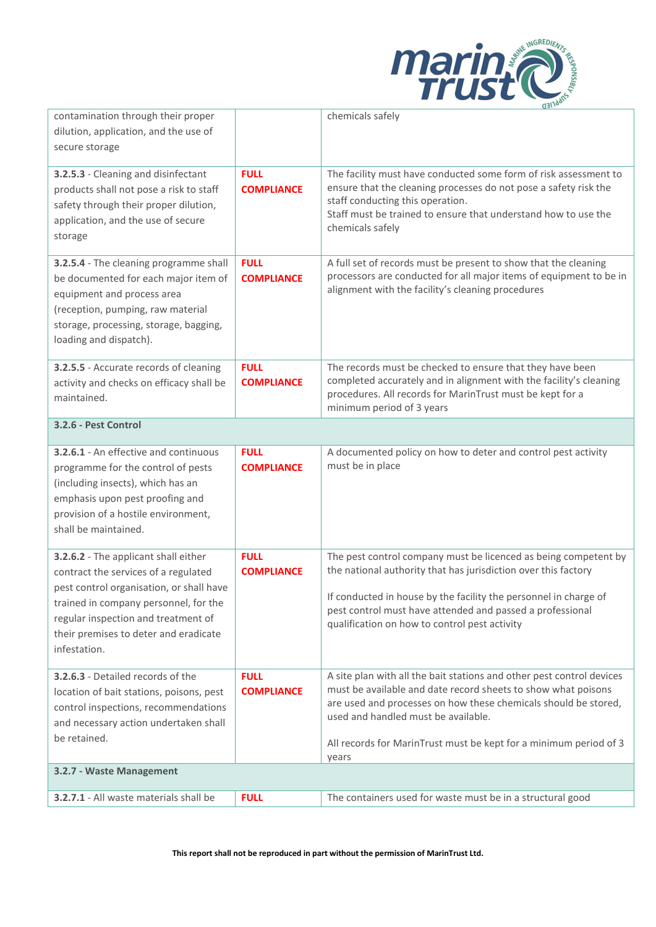

| contamination through their proper                                                                                                                                                                                                                                |                                  | u <sub>a</sub><br>chemicals safely                                                                                                                                                                                                                                                                                             |  |
|-------------------------------------------------------------------------------------------------------------------------------------------------------------------------------------------------------------------------------------------------------------------|----------------------------------|--------------------------------------------------------------------------------------------------------------------------------------------------------------------------------------------------------------------------------------------------------------------------------------------------------------------------------|--|
| dilution, application, and the use of                                                                                                                                                                                                                             |                                  |                                                                                                                                                                                                                                                                                                                                |  |
| secure storage                                                                                                                                                                                                                                                    |                                  |                                                                                                                                                                                                                                                                                                                                |  |
| 3.2.5.3 - Cleaning and disinfectant<br>products shall not pose a risk to staff<br>safety through their proper dilution,<br>application, and the use of secure<br>storage                                                                                          | <b>FULL</b><br><b>COMPLIANCE</b> | The facility must have conducted some form of risk assessment to<br>ensure that the cleaning processes do not pose a safety risk the<br>staff conducting this operation.<br>Staff must be trained to ensure that understand how to use the<br>chemicals safely                                                                 |  |
| 3.2.5.4 - The cleaning programme shall<br>be documented for each major item of<br>equipment and process area<br>(reception, pumping, raw material<br>storage, processing, storage, bagging,<br>loading and dispatch).                                             | <b>FULL</b><br><b>COMPLIANCE</b> | A full set of records must be present to show that the cleaning<br>processors are conducted for all major items of equipment to be in<br>alignment with the facility's cleaning procedures                                                                                                                                     |  |
| 3.2.5.5 - Accurate records of cleaning<br>activity and checks on efficacy shall be<br>maintained.                                                                                                                                                                 | <b>FULL</b><br><b>COMPLIANCE</b> | The records must be checked to ensure that they have been<br>completed accurately and in alignment with the facility's cleaning<br>procedures. All records for MarinTrust must be kept for a<br>minimum period of 3 years                                                                                                      |  |
| 3.2.6 - Pest Control                                                                                                                                                                                                                                              |                                  |                                                                                                                                                                                                                                                                                                                                |  |
| 3.2.6.1 - An effective and continuous<br>programme for the control of pests<br>(including insects), which has an<br>emphasis upon pest proofing and<br>provision of a hostile environment,<br>shall be maintained.                                                | <b>FULL</b><br><b>COMPLIANCE</b> | A documented policy on how to deter and control pest activity<br>must be in place                                                                                                                                                                                                                                              |  |
| 3.2.6.2 - The applicant shall either<br>contract the services of a regulated<br>pest control organisation, or shall have<br>trained in company personnel, for the<br>regular inspection and treatment of<br>their premises to deter and eradicate<br>infestation. | <b>FULL</b><br><b>COMPLIANCE</b> | The pest control company must be licenced as being competent by<br>the national authority that has jurisdiction over this factory<br>If conducted in house by the facility the personnel in charge of<br>pest control must have attended and passed a professional<br>qualification on how to control pest activity            |  |
| 3.2.6.3 - Detailed records of the<br>location of bait stations, poisons, pest<br>control inspections, recommendations<br>and necessary action undertaken shall<br>be retained.                                                                                    | <b>FULL</b><br><b>COMPLIANCE</b> | A site plan with all the bait stations and other pest control devices<br>must be available and date record sheets to show what poisons<br>are used and processes on how these chemicals should be stored,<br>used and handled must be available.<br>All records for MarinTrust must be kept for a minimum period of 3<br>years |  |
| 3.2.7 - Waste Management                                                                                                                                                                                                                                          |                                  |                                                                                                                                                                                                                                                                                                                                |  |
| 3.2.7.1 - All waste materials shall be                                                                                                                                                                                                                            | <b>FULL</b>                      | The containers used for waste must be in a structural good                                                                                                                                                                                                                                                                     |  |
|                                                                                                                                                                                                                                                                   |                                  |                                                                                                                                                                                                                                                                                                                                |  |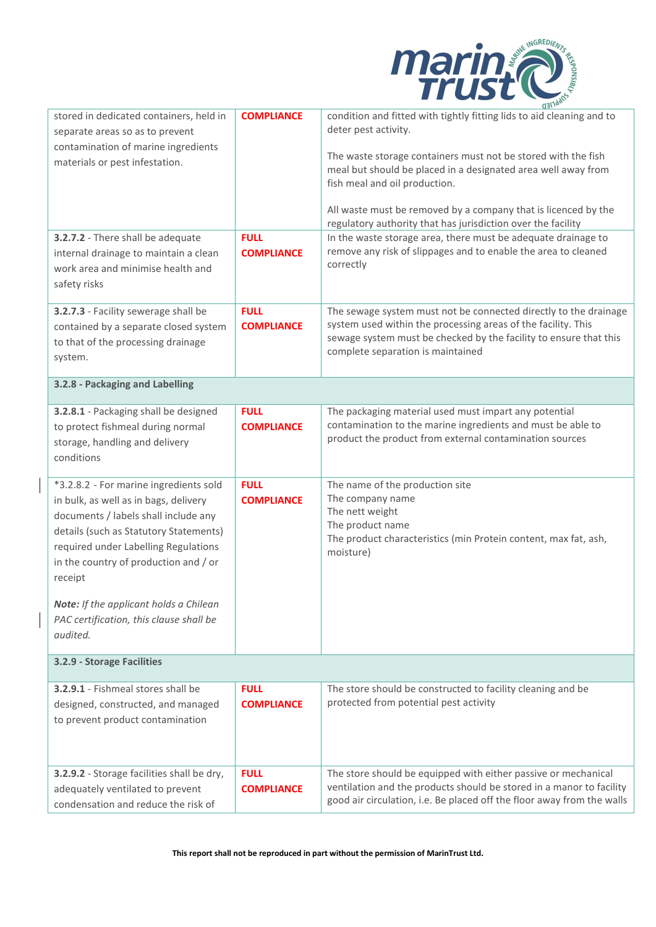

| stored in dedicated containers, held in<br>separate areas so as to prevent<br>contamination of marine ingredients<br>materials or pest infestation.<br>3.2.7.2 - There shall be adequate                                                                      | <b>COMPLIANCE</b><br><b>FULL</b> | condition and fitted with tightly fitting lids to aid cleaning and to<br>deter pest activity.<br>The waste storage containers must not be stored with the fish<br>meal but should be placed in a designated area well away from<br>fish meal and oil production.<br>All waste must be removed by a company that is licenced by the<br>regulatory authority that has jurisdiction over the facility<br>In the waste storage area, there must be adequate drainage to |
|---------------------------------------------------------------------------------------------------------------------------------------------------------------------------------------------------------------------------------------------------------------|----------------------------------|---------------------------------------------------------------------------------------------------------------------------------------------------------------------------------------------------------------------------------------------------------------------------------------------------------------------------------------------------------------------------------------------------------------------------------------------------------------------|
| internal drainage to maintain a clean<br>work area and minimise health and<br>safety risks                                                                                                                                                                    | <b>COMPLIANCE</b>                | remove any risk of slippages and to enable the area to cleaned<br>correctly                                                                                                                                                                                                                                                                                                                                                                                         |
| 3.2.7.3 - Facility sewerage shall be<br>contained by a separate closed system<br>to that of the processing drainage<br>system.                                                                                                                                | <b>FULL</b><br><b>COMPLIANCE</b> | The sewage system must not be connected directly to the drainage<br>system used within the processing areas of the facility. This<br>sewage system must be checked by the facility to ensure that this<br>complete separation is maintained                                                                                                                                                                                                                         |
| 3.2.8 - Packaging and Labelling                                                                                                                                                                                                                               |                                  |                                                                                                                                                                                                                                                                                                                                                                                                                                                                     |
| 3.2.8.1 - Packaging shall be designed<br>to protect fishmeal during normal<br>storage, handling and delivery<br>conditions                                                                                                                                    | <b>FULL</b><br><b>COMPLIANCE</b> | The packaging material used must impart any potential<br>contamination to the marine ingredients and must be able to<br>product the product from external contamination sources                                                                                                                                                                                                                                                                                     |
| *3.2.8.2 - For marine ingredients sold<br>in bulk, as well as in bags, delivery<br>documents / labels shall include any<br>details (such as Statutory Statements)<br>required under Labelling Regulations<br>in the country of production and / or<br>receipt | <b>FULL</b><br><b>COMPLIANCE</b> | The name of the production site<br>The company name<br>The nett weight<br>The product name<br>The product characteristics (min Protein content, max fat, ash,<br>moisture)                                                                                                                                                                                                                                                                                          |
| Note: If the applicant holds a Chilean<br>PAC certification, this clause shall be<br>audited.                                                                                                                                                                 |                                  |                                                                                                                                                                                                                                                                                                                                                                                                                                                                     |
| 3.2.9 - Storage Facilities                                                                                                                                                                                                                                    |                                  |                                                                                                                                                                                                                                                                                                                                                                                                                                                                     |
| 3.2.9.1 - Fishmeal stores shall be<br>designed, constructed, and managed<br>to prevent product contamination                                                                                                                                                  | <b>FULL</b><br><b>COMPLIANCE</b> | The store should be constructed to facility cleaning and be<br>protected from potential pest activity                                                                                                                                                                                                                                                                                                                                                               |
| 3.2.9.2 - Storage facilities shall be dry,<br>adequately ventilated to prevent<br>condensation and reduce the risk of                                                                                                                                         | <b>FULL</b><br><b>COMPLIANCE</b> | The store should be equipped with either passive or mechanical<br>ventilation and the products should be stored in a manor to facility<br>good air circulation, i.e. Be placed off the floor away from the walls                                                                                                                                                                                                                                                    |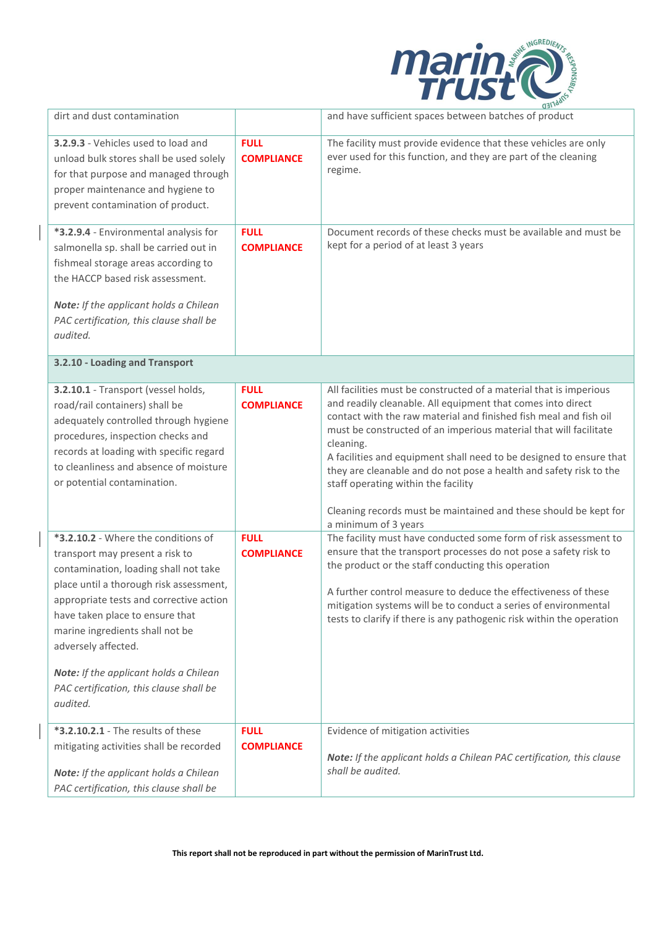

| dirt and dust contamination                                                                                                                                                                                                                                                                                                                                  |                                                 | and have sufficient spaces between batches of product                                                                                                                                                                                                                                                                                                                                                                                                                                                                                                                                                                                        |
|--------------------------------------------------------------------------------------------------------------------------------------------------------------------------------------------------------------------------------------------------------------------------------------------------------------------------------------------------------------|-------------------------------------------------|----------------------------------------------------------------------------------------------------------------------------------------------------------------------------------------------------------------------------------------------------------------------------------------------------------------------------------------------------------------------------------------------------------------------------------------------------------------------------------------------------------------------------------------------------------------------------------------------------------------------------------------------|
| 3.2.9.3 - Vehicles used to load and<br>unload bulk stores shall be used solely<br>for that purpose and managed through<br>proper maintenance and hygiene to<br>prevent contamination of product.                                                                                                                                                             | <b>FULL</b><br><b>COMPLIANCE</b>                | The facility must provide evidence that these vehicles are only<br>ever used for this function, and they are part of the cleaning<br>regime.                                                                                                                                                                                                                                                                                                                                                                                                                                                                                                 |
| *3.2.9.4 - Environmental analysis for<br>salmonella sp. shall be carried out in<br>fishmeal storage areas according to<br>the HACCP based risk assessment.<br>Note: If the applicant holds a Chilean<br>PAC certification, this clause shall be<br>audited.                                                                                                  | <b>FULL</b><br><b>COMPLIANCE</b>                | Document records of these checks must be available and must be<br>kept for a period of at least 3 years                                                                                                                                                                                                                                                                                                                                                                                                                                                                                                                                      |
| 3.2.10 - Loading and Transport                                                                                                                                                                                                                                                                                                                               |                                                 |                                                                                                                                                                                                                                                                                                                                                                                                                                                                                                                                                                                                                                              |
| 3.2.10.1 - Transport (vessel holds,<br>road/rail containers) shall be<br>adequately controlled through hygiene<br>procedures, inspection checks and<br>records at loading with specific regard<br>to cleanliness and absence of moisture<br>or potential contamination.<br>*3.2.10.2 - Where the conditions of                                               | <b>FULL</b><br><b>COMPLIANCE</b><br><b>FULL</b> | All facilities must be constructed of a material that is imperious<br>and readily cleanable. All equipment that comes into direct<br>contact with the raw material and finished fish meal and fish oil<br>must be constructed of an imperious material that will facilitate<br>cleaning.<br>A facilities and equipment shall need to be designed to ensure that<br>they are cleanable and do not pose a health and safety risk to the<br>staff operating within the facility<br>Cleaning records must be maintained and these should be kept for<br>a minimum of 3 years<br>The facility must have conducted some form of risk assessment to |
| transport may present a risk to<br>contamination, loading shall not take<br>place until a thorough risk assessment,<br>appropriate tests and corrective action<br>have taken place to ensure that<br>marine ingredients shall not be<br>adversely affected.<br>Note: If the applicant holds a Chilean<br>PAC certification, this clause shall be<br>audited. | <b>COMPLIANCE</b>                               | ensure that the transport processes do not pose a safety risk to<br>the product or the staff conducting this operation<br>A further control measure to deduce the effectiveness of these<br>mitigation systems will be to conduct a series of environmental<br>tests to clarify if there is any pathogenic risk within the operation                                                                                                                                                                                                                                                                                                         |
| <b>*3.2.10.2.1</b> - The results of these<br>mitigating activities shall be recorded<br>Note: If the applicant holds a Chilean<br>PAC certification, this clause shall be                                                                                                                                                                                    | <b>FULL</b><br><b>COMPLIANCE</b>                | Evidence of mitigation activities<br>Note: If the applicant holds a Chilean PAC certification, this clause<br>shall be audited.                                                                                                                                                                                                                                                                                                                                                                                                                                                                                                              |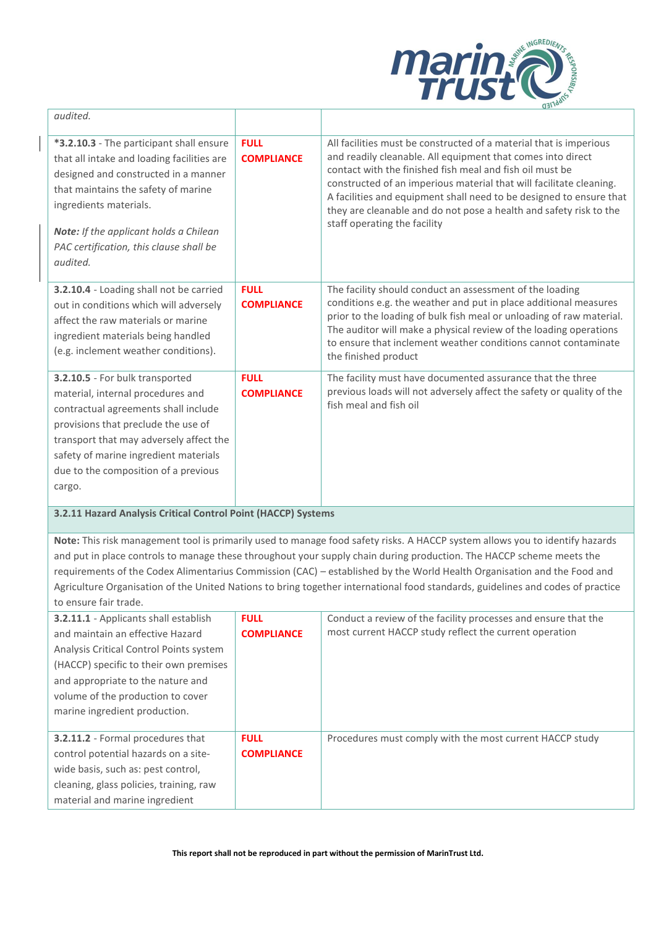

| audited.                                                                                                                                                                                                                                                                                                |                                  |                                                                                                                                                                                                                                                                                                                                                                                                                                                   |
|---------------------------------------------------------------------------------------------------------------------------------------------------------------------------------------------------------------------------------------------------------------------------------------------------------|----------------------------------|---------------------------------------------------------------------------------------------------------------------------------------------------------------------------------------------------------------------------------------------------------------------------------------------------------------------------------------------------------------------------------------------------------------------------------------------------|
| *3.2.10.3 - The participant shall ensure<br>that all intake and loading facilities are<br>designed and constructed in a manner<br>that maintains the safety of marine<br>ingredients materials.<br><b>Note:</b> If the applicant holds a Chilean<br>PAC certification, this clause shall be<br>audited. | <b>FULL</b><br><b>COMPLIANCE</b> | All facilities must be constructed of a material that is imperious<br>and readily cleanable. All equipment that comes into direct<br>contact with the finished fish meal and fish oil must be<br>constructed of an imperious material that will facilitate cleaning.<br>A facilities and equipment shall need to be designed to ensure that<br>they are cleanable and do not pose a health and safety risk to the<br>staff operating the facility |
| 3.2.10.4 - Loading shall not be carried<br>out in conditions which will adversely<br>affect the raw materials or marine<br>ingredient materials being handled<br>(e.g. inclement weather conditions).                                                                                                   | <b>FULL</b><br><b>COMPLIANCE</b> | The facility should conduct an assessment of the loading<br>conditions e.g. the weather and put in place additional measures<br>prior to the loading of bulk fish meal or unloading of raw material.<br>The auditor will make a physical review of the loading operations<br>to ensure that inclement weather conditions cannot contaminate<br>the finished product                                                                               |
| 3.2.10.5 - For bulk transported<br>material, internal procedures and<br>contractual agreements shall include<br>provisions that preclude the use of<br>transport that may adversely affect the<br>safety of marine ingredient materials<br>due to the composition of a previous<br>cargo.               | <b>FULL</b><br><b>COMPLIANCE</b> | The facility must have documented assurance that the three<br>previous loads will not adversely affect the safety or quality of the<br>fish meal and fish oil                                                                                                                                                                                                                                                                                     |

**3.2.11 Hazard Analysis Critical Control Point (HACCP) Systems**

**Note:** This risk management tool is primarily used to manage food safety risks. A HACCP system allows you to identify hazards and put in place controls to manage these throughout your supply chain during production. The HACCP scheme meets the requirements of the Codex Alimentarius Commission (CAC) – established by the World Health Organisation and the Food and Agriculture Organisation of the United Nations to bring together international food standards, guidelines and codes of practice to ensure fair trade.

| 3.2.11.1 - Applicants shall establish<br>and maintain an effective Hazard<br>Analysis Critical Control Points system<br>(HACCP) specific to their own premises<br>and appropriate to the nature and<br>volume of the production to cover<br>marine ingredient production. | <b>FULL</b><br><b>COMPLIANCE</b> | Conduct a review of the facility processes and ensure that the<br>most current HACCP study reflect the current operation |
|---------------------------------------------------------------------------------------------------------------------------------------------------------------------------------------------------------------------------------------------------------------------------|----------------------------------|--------------------------------------------------------------------------------------------------------------------------|
| <b>3.2.11.2</b> - Formal procedures that<br>control potential hazards on a site-<br>wide basis, such as: pest control,<br>cleaning, glass policies, training, raw<br>material and marine ingredient                                                                       | <b>FULL</b><br><b>COMPLIANCE</b> | Procedures must comply with the most current HACCP study                                                                 |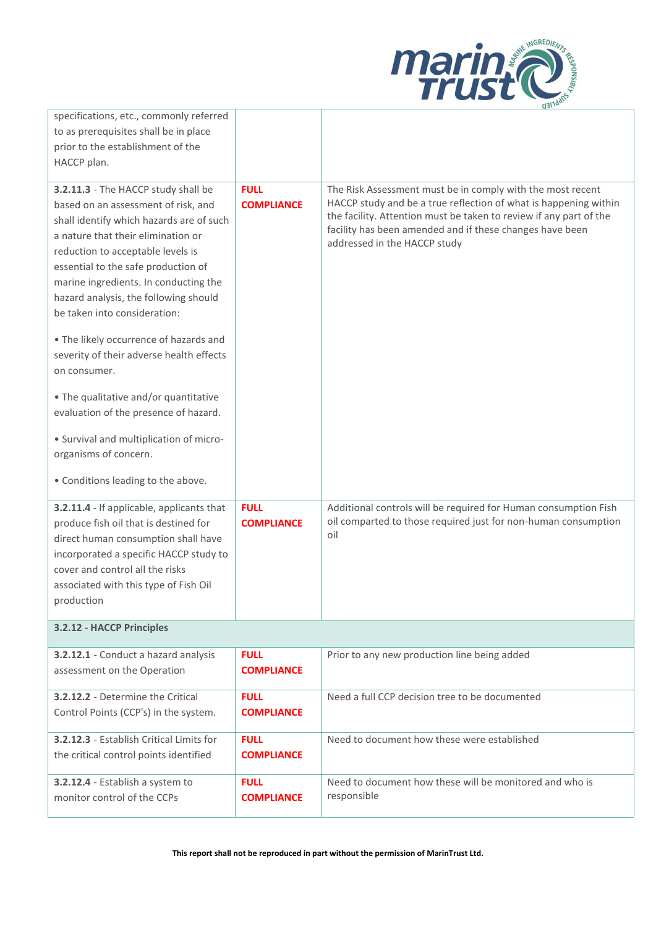

| specifications, etc., commonly referred<br>to as prerequisites shall be in place<br>prior to the establishment of the<br>HACCP plan.                                                                                                                                                                                                                                                                                                                             |                                  |                                                                                                                                                                                                                                                                                                  |
|------------------------------------------------------------------------------------------------------------------------------------------------------------------------------------------------------------------------------------------------------------------------------------------------------------------------------------------------------------------------------------------------------------------------------------------------------------------|----------------------------------|--------------------------------------------------------------------------------------------------------------------------------------------------------------------------------------------------------------------------------------------------------------------------------------------------|
| 3.2.11.3 - The HACCP study shall be<br>based on an assessment of risk, and<br>shall identify which hazards are of such<br>a nature that their elimination or<br>reduction to acceptable levels is<br>essential to the safe production of<br>marine ingredients. In conducting the<br>hazard analysis, the following should<br>be taken into consideration:<br>. The likely occurrence of hazards and<br>severity of their adverse health effects<br>on consumer. | <b>FULL</b><br><b>COMPLIANCE</b> | The Risk Assessment must be in comply with the most recent<br>HACCP study and be a true reflection of what is happening within<br>the facility. Attention must be taken to review if any part of the<br>facility has been amended and if these changes have been<br>addressed in the HACCP study |
| • The qualitative and/or quantitative<br>evaluation of the presence of hazard.<br>• Survival and multiplication of micro-<br>organisms of concern.                                                                                                                                                                                                                                                                                                               |                                  |                                                                                                                                                                                                                                                                                                  |
| • Conditions leading to the above.                                                                                                                                                                                                                                                                                                                                                                                                                               |                                  |                                                                                                                                                                                                                                                                                                  |
| 3.2.11.4 - If applicable, applicants that<br>produce fish oil that is destined for<br>direct human consumption shall have<br>incorporated a specific HACCP study to<br>cover and control all the risks<br>associated with this type of Fish Oil<br>production                                                                                                                                                                                                    | <b>FULL</b><br><b>COMPLIANCE</b> | Additional controls will be required for Human consumption Fish<br>oil comparted to those required just for non-human consumption<br>oil                                                                                                                                                         |
| 3.2.12 - HACCP Principles                                                                                                                                                                                                                                                                                                                                                                                                                                        |                                  |                                                                                                                                                                                                                                                                                                  |
| 3.2.12.1 - Conduct a hazard analysis<br>assessment on the Operation                                                                                                                                                                                                                                                                                                                                                                                              | <b>FULL</b><br><b>COMPLIANCE</b> | Prior to any new production line being added                                                                                                                                                                                                                                                     |
| 3.2.12.2 - Determine the Critical<br>Control Points (CCP's) in the system.                                                                                                                                                                                                                                                                                                                                                                                       | <b>FULL</b><br><b>COMPLIANCE</b> | Need a full CCP decision tree to be documented                                                                                                                                                                                                                                                   |
| 3.2.12.3 - Establish Critical Limits for<br>the critical control points identified                                                                                                                                                                                                                                                                                                                                                                               | <b>FULL</b><br><b>COMPLIANCE</b> | Need to document how these were established                                                                                                                                                                                                                                                      |
| 3.2.12.4 - Establish a system to<br>monitor control of the CCPs                                                                                                                                                                                                                                                                                                                                                                                                  | <b>FULL</b><br><b>COMPLIANCE</b> | Need to document how these will be monitored and who is<br>responsible                                                                                                                                                                                                                           |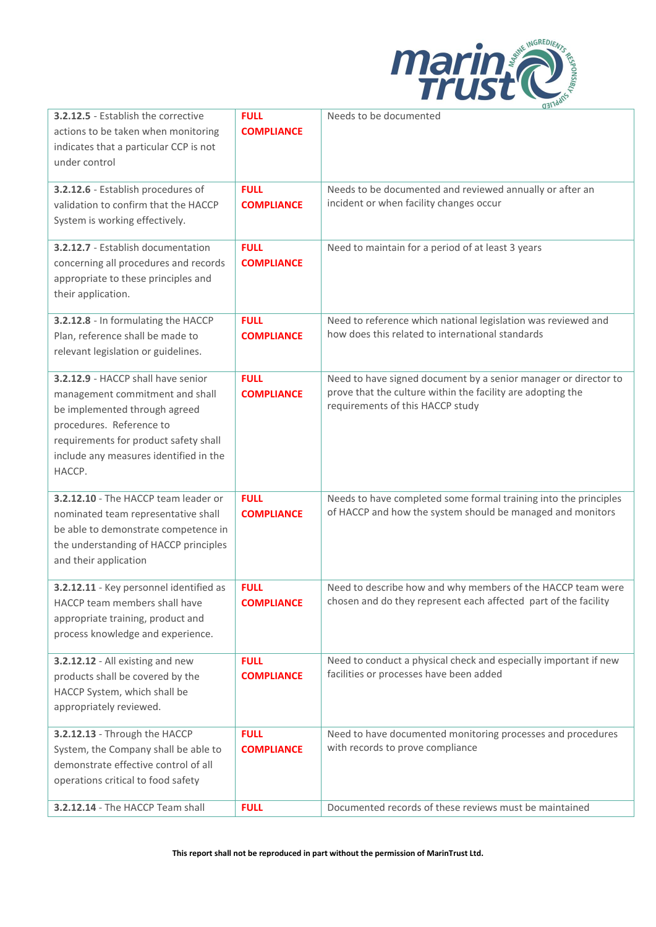

| <b>3.2.12.5</b> - Establish the corrective<br>actions to be taken when monitoring<br>indicates that a particular CCP is not<br>under control<br>3.2.12.6 - Establish procedures of<br>validation to confirm that the HACCP<br>System is working effectively.<br><b>3.2.12.7</b> - Establish documentation<br>concerning all procedures and records<br>appropriate to these principles and | <b>FULL</b><br><b>COMPLIANCE</b><br><b>FULL</b><br><b>COMPLIANCE</b><br><b>FULL</b><br><b>COMPLIANCE</b> | Needs to be documented<br>Needs to be documented and reviewed annually or after an<br>incident or when facility changes occur<br>Need to maintain for a period of at least 3 years |
|-------------------------------------------------------------------------------------------------------------------------------------------------------------------------------------------------------------------------------------------------------------------------------------------------------------------------------------------------------------------------------------------|----------------------------------------------------------------------------------------------------------|------------------------------------------------------------------------------------------------------------------------------------------------------------------------------------|
| their application.<br>3.2.12.8 - In formulating the HACCP                                                                                                                                                                                                                                                                                                                                 | <b>FULL</b>                                                                                              | Need to reference which national legislation was reviewed and                                                                                                                      |
| Plan, reference shall be made to<br>relevant legislation or guidelines.                                                                                                                                                                                                                                                                                                                   | <b>COMPLIANCE</b>                                                                                        | how does this related to international standards                                                                                                                                   |
| 3.2.12.9 - HACCP shall have senior<br>management commitment and shall<br>be implemented through agreed<br>procedures. Reference to<br>requirements for product safety shall<br>include any measures identified in the<br>HACCP.                                                                                                                                                           | <b>FULL</b><br><b>COMPLIANCE</b>                                                                         | Need to have signed document by a senior manager or director to<br>prove that the culture within the facility are adopting the<br>requirements of this HACCP study                 |
| 3.2.12.10 - The HACCP team leader or<br>nominated team representative shall<br>be able to demonstrate competence in<br>the understanding of HACCP principles<br>and their application                                                                                                                                                                                                     | <b>FULL</b><br><b>COMPLIANCE</b>                                                                         | Needs to have completed some formal training into the principles<br>of HACCP and how the system should be managed and monitors                                                     |
| 3.2.12.11 - Key personnel identified as<br>HACCP team members shall have<br>appropriate training, product and<br>process knowledge and experience.                                                                                                                                                                                                                                        | <b>FULL</b><br><b>COMPLIANCE</b>                                                                         | Need to describe how and why members of the HACCP team were<br>chosen and do they represent each affected part of the facility                                                     |
| 3.2.12.12 - All existing and new<br>products shall be covered by the<br>HACCP System, which shall be<br>appropriately reviewed.                                                                                                                                                                                                                                                           | <b>FULL</b><br><b>COMPLIANCE</b>                                                                         | Need to conduct a physical check and especially important if new<br>facilities or processes have been added                                                                        |
| 3.2.12.13 - Through the HACCP<br>System, the Company shall be able to<br>demonstrate effective control of all<br>operations critical to food safety                                                                                                                                                                                                                                       | <b>FULL</b><br><b>COMPLIANCE</b>                                                                         | Need to have documented monitoring processes and procedures<br>with records to prove compliance                                                                                    |
| 3.2.12.14 - The HACCP Team shall                                                                                                                                                                                                                                                                                                                                                          | <b>FULL</b>                                                                                              | Documented records of these reviews must be maintained                                                                                                                             |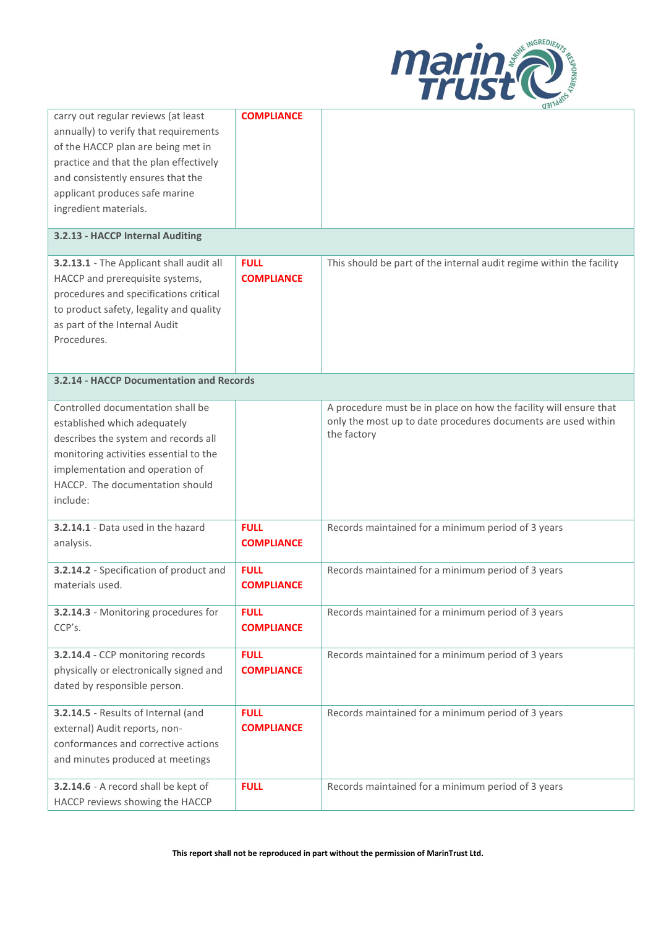

|                                                 |                                  | $Q = 111$                                                            |
|-------------------------------------------------|----------------------------------|----------------------------------------------------------------------|
| carry out regular reviews (at least             | <b>COMPLIANCE</b>                |                                                                      |
| annually) to verify that requirements           |                                  |                                                                      |
| of the HACCP plan are being met in              |                                  |                                                                      |
| practice and that the plan effectively          |                                  |                                                                      |
| and consistently ensures that the               |                                  |                                                                      |
| applicant produces safe marine                  |                                  |                                                                      |
| ingredient materials.                           |                                  |                                                                      |
|                                                 |                                  |                                                                      |
| 3.2.13 - HACCP Internal Auditing                |                                  |                                                                      |
| 3.2.13.1 - The Applicant shall audit all        | <b>FULL</b>                      | This should be part of the internal audit regime within the facility |
| HACCP and prerequisite systems,                 | <b>COMPLIANCE</b>                |                                                                      |
| procedures and specifications critical          |                                  |                                                                      |
| to product safety, legality and quality         |                                  |                                                                      |
| as part of the Internal Audit                   |                                  |                                                                      |
| Procedures.                                     |                                  |                                                                      |
|                                                 |                                  |                                                                      |
|                                                 |                                  |                                                                      |
| <b>3.2.14 - HACCP Documentation and Records</b> |                                  |                                                                      |
| Controlled documentation shall be               |                                  | A procedure must be in place on how the facility will ensure that    |
| established which adequately                    |                                  | only the most up to date procedures documents are used within        |
| describes the system and records all            |                                  | the factory                                                          |
| monitoring activities essential to the          |                                  |                                                                      |
| implementation and operation of                 |                                  |                                                                      |
| HACCP. The documentation should                 |                                  |                                                                      |
| include:                                        |                                  |                                                                      |
| 3.2.14.1 - Data used in the hazard              | <b>FULL</b>                      | Records maintained for a minimum period of 3 years                   |
| analysis.                                       | <b>COMPLIANCE</b>                |                                                                      |
|                                                 |                                  |                                                                      |
| 3.2.14.2 - Specification of product and         | <b>FULL</b>                      | Records maintained for a minimum period of 3 years                   |
| materials used.                                 | <b>COMPLIANCE</b>                |                                                                      |
| 3.2.14.3 - Monitoring procedures for            |                                  |                                                                      |
|                                                 | <b>FULL</b><br><b>COMPLIANCE</b> | Records maintained for a minimum period of 3 years                   |
| CCP's.                                          |                                  |                                                                      |
| 3.2.14.4 - CCP monitoring records               | <b>FULL</b>                      | Records maintained for a minimum period of 3 years                   |
| physically or electronically signed and         | <b>COMPLIANCE</b>                |                                                                      |
| dated by responsible person.                    |                                  |                                                                      |
|                                                 |                                  |                                                                      |
| 3.2.14.5 - Results of Internal (and             | <b>FULL</b>                      | Records maintained for a minimum period of 3 years                   |
| external) Audit reports, non-                   | <b>COMPLIANCE</b>                |                                                                      |
| conformances and corrective actions             |                                  |                                                                      |
| and minutes produced at meetings                |                                  |                                                                      |
| 3.2.14.6 - A record shall be kept of            | <b>FULL</b>                      | Records maintained for a minimum period of 3 years                   |
| HACCP reviews showing the HACCP                 |                                  |                                                                      |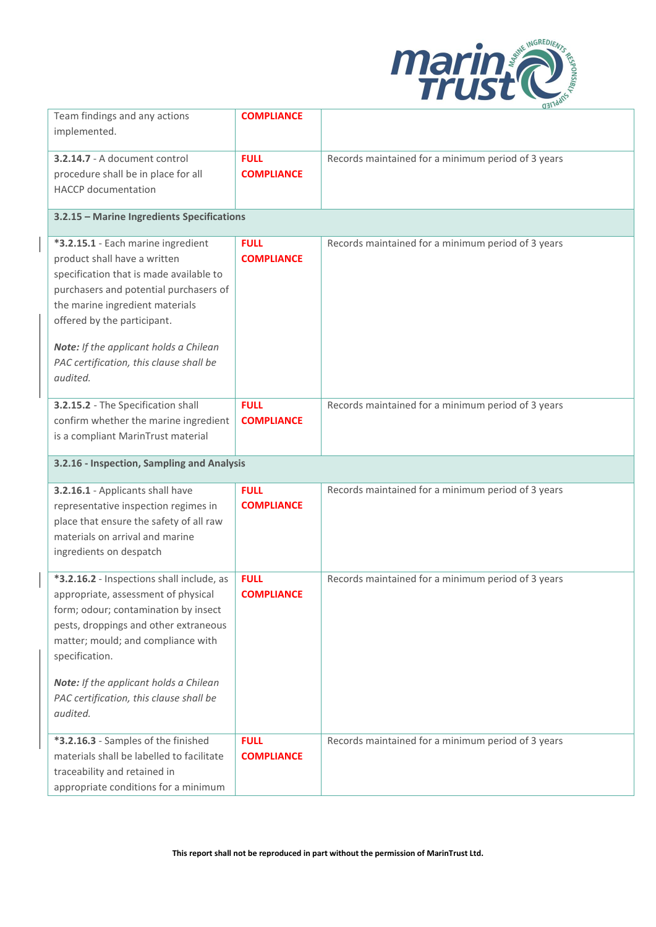

| Team findings and any actions<br>implemented.                                                                                                                                                                                                                                                                              | <b>COMPLIANCE</b>                | <u>uan : </u>                                      |
|----------------------------------------------------------------------------------------------------------------------------------------------------------------------------------------------------------------------------------------------------------------------------------------------------------------------------|----------------------------------|----------------------------------------------------|
| 3.2.14.7 - A document control<br>procedure shall be in place for all<br><b>HACCP</b> documentation                                                                                                                                                                                                                         | <b>FULL</b><br><b>COMPLIANCE</b> | Records maintained for a minimum period of 3 years |
| 3.2.15 - Marine Ingredients Specifications                                                                                                                                                                                                                                                                                 |                                  |                                                    |
| *3.2.15.1 - Each marine ingredient<br>product shall have a written<br>specification that is made available to<br>purchasers and potential purchasers of<br>the marine ingredient materials<br>offered by the participant.<br>Note: If the applicant holds a Chilean<br>PAC certification, this clause shall be<br>audited. | <b>FULL</b><br><b>COMPLIANCE</b> | Records maintained for a minimum period of 3 years |
| 3.2.15.2 - The Specification shall<br>confirm whether the marine ingredient<br>is a compliant MarinTrust material                                                                                                                                                                                                          | <b>FULL</b><br><b>COMPLIANCE</b> | Records maintained for a minimum period of 3 years |
| 3.2.16 - Inspection, Sampling and Analysis                                                                                                                                                                                                                                                                                 |                                  |                                                    |
| 3.2.16.1 - Applicants shall have<br>representative inspection regimes in<br>place that ensure the safety of all raw<br>materials on arrival and marine<br>ingredients on despatch                                                                                                                                          | <b>FULL</b><br><b>COMPLIANCE</b> | Records maintained for a minimum period of 3 years |
| *3.2.16.2 - Inspections shall include, as<br>appropriate, assessment of physical<br>form; odour; contamination by insect<br>pests, droppings and other extraneous<br>matter; mould; and compliance with<br>specification.<br>Note: If the applicant holds a Chilean<br>PAC certification, this clause shall be<br>audited. | <b>FULL</b><br><b>COMPLIANCE</b> | Records maintained for a minimum period of 3 years |
| *3.2.16.3 - Samples of the finished<br>materials shall be labelled to facilitate<br>traceability and retained in<br>appropriate conditions for a minimum                                                                                                                                                                   | <b>FULL</b><br><b>COMPLIANCE</b> | Records maintained for a minimum period of 3 years |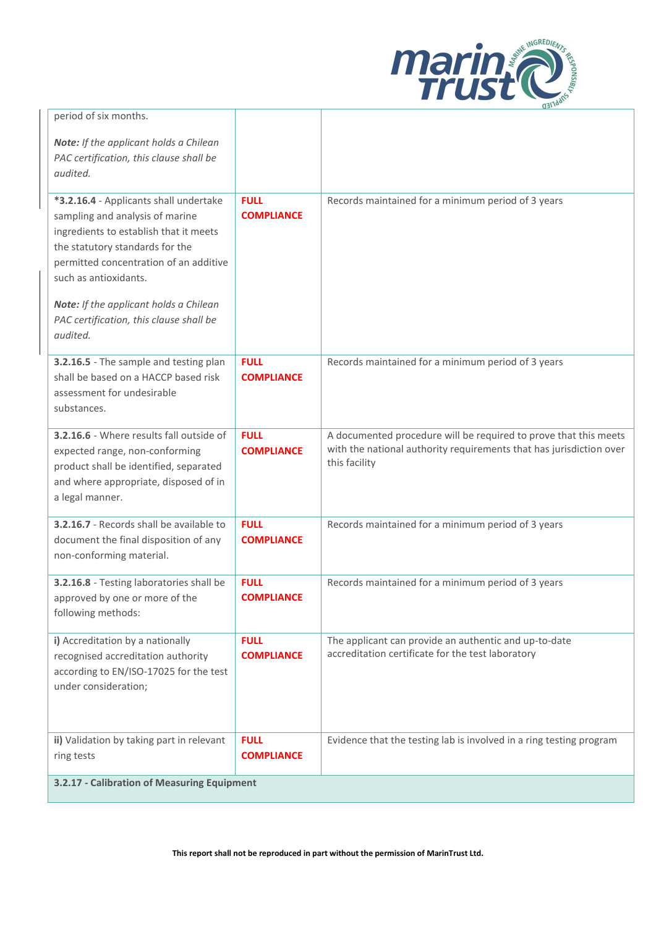

| period of six months.                                                                                                                                                                                                                                                                                                      |                                  |                                                                                                                                                          |
|----------------------------------------------------------------------------------------------------------------------------------------------------------------------------------------------------------------------------------------------------------------------------------------------------------------------------|----------------------------------|----------------------------------------------------------------------------------------------------------------------------------------------------------|
| Note: If the applicant holds a Chilean<br>PAC certification, this clause shall be<br>audited.                                                                                                                                                                                                                              |                                  |                                                                                                                                                          |
| *3.2.16.4 - Applicants shall undertake<br>sampling and analysis of marine<br>ingredients to establish that it meets<br>the statutory standards for the<br>permitted concentration of an additive<br>such as antioxidants.<br>Note: If the applicant holds a Chilean<br>PAC certification, this clause shall be<br>audited. | <b>FULL</b><br><b>COMPLIANCE</b> | Records maintained for a minimum period of 3 years                                                                                                       |
| 3.2.16.5 - The sample and testing plan<br>shall be based on a HACCP based risk<br>assessment for undesirable<br>substances.                                                                                                                                                                                                | <b>FULL</b><br><b>COMPLIANCE</b> | Records maintained for a minimum period of 3 years                                                                                                       |
| 3.2.16.6 - Where results fall outside of<br>expected range, non-conforming<br>product shall be identified, separated<br>and where appropriate, disposed of in<br>a legal manner.                                                                                                                                           | <b>FULL</b><br><b>COMPLIANCE</b> | A documented procedure will be required to prove that this meets<br>with the national authority requirements that has jurisdiction over<br>this facility |
| 3.2.16.7 - Records shall be available to<br>document the final disposition of any<br>non-conforming material.                                                                                                                                                                                                              | <b>FULL</b><br><b>COMPLIANCE</b> | Records maintained for a minimum period of 3 years                                                                                                       |
| 3.2.16.8 - Testing laboratories shall be<br>approved by one or more of the<br>following methods:                                                                                                                                                                                                                           | <b>FULL</b><br><b>COMPLIANCE</b> | Records maintained for a minimum period of 3 years                                                                                                       |
| i) Accreditation by a nationally<br>recognised accreditation authority<br>according to EN/ISO-17025 for the test<br>under consideration;                                                                                                                                                                                   | <b>FULL</b><br><b>COMPLIANCE</b> | The applicant can provide an authentic and up-to-date<br>accreditation certificate for the test laboratory                                               |
| ii) Validation by taking part in relevant<br>ring tests                                                                                                                                                                                                                                                                    | <b>FULL</b><br><b>COMPLIANCE</b> | Evidence that the testing lab is involved in a ring testing program                                                                                      |
| 3.2.17 - Calibration of Measuring Equipment                                                                                                                                                                                                                                                                                |                                  |                                                                                                                                                          |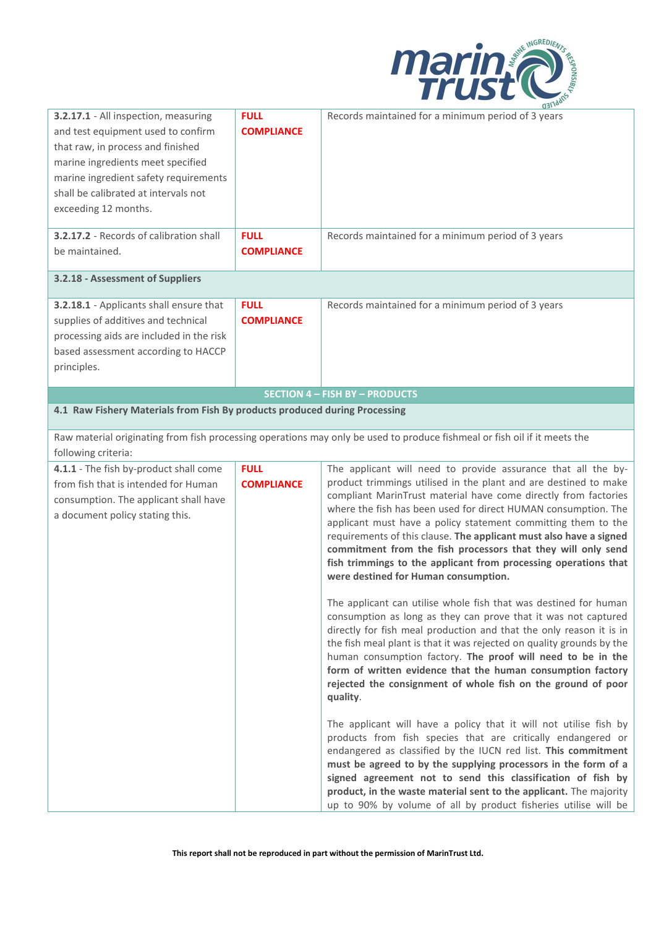

| 3.2.17.1 - All inspection, measuring<br>and test equipment used to confirm<br>that raw, in process and finished<br>marine ingredients meet specified<br>marine ingredient safety requirements<br>shall be calibrated at intervals not<br>exceeding 12 months.<br>3.2.17.2 - Records of calibration shall<br>be maintained.<br>3.2.18 - Assessment of Suppliers | <b>FULL</b><br><b>COMPLIANCE</b><br><b>FULL</b><br><b>COMPLIANCE</b> | (13)<br>Records maintained for a minimum period of 3 years<br>Records maintained for a minimum period of 3 years                                                                                                                                                                                                                                                                                                                                                                                                        |
|----------------------------------------------------------------------------------------------------------------------------------------------------------------------------------------------------------------------------------------------------------------------------------------------------------------------------------------------------------------|----------------------------------------------------------------------|-------------------------------------------------------------------------------------------------------------------------------------------------------------------------------------------------------------------------------------------------------------------------------------------------------------------------------------------------------------------------------------------------------------------------------------------------------------------------------------------------------------------------|
| 3.2.18.1 - Applicants shall ensure that<br>supplies of additives and technical<br>processing aids are included in the risk<br>based assessment according to HACCP<br>principles.                                                                                                                                                                               | <b>FULL</b><br><b>COMPLIANCE</b>                                     | Records maintained for a minimum period of 3 years                                                                                                                                                                                                                                                                                                                                                                                                                                                                      |
| 4.1 Raw Fishery Materials from Fish By products produced during Processing                                                                                                                                                                                                                                                                                     |                                                                      | <b>SECTION 4 - FISH BY - PRODUCTS</b>                                                                                                                                                                                                                                                                                                                                                                                                                                                                                   |
| following criteria:<br>4.1.1 - The fish by-product shall come                                                                                                                                                                                                                                                                                                  | <b>FULL</b>                                                          | Raw material originating from fish processing operations may only be used to produce fishmeal or fish oil if it meets the<br>The applicant will need to provide assurance that all the by-                                                                                                                                                                                                                                                                                                                              |
| from fish that is intended for Human<br>consumption. The applicant shall have<br>a document policy stating this.                                                                                                                                                                                                                                               | <b>COMPLIANCE</b>                                                    | product trimmings utilised in the plant and are destined to make<br>compliant MarinTrust material have come directly from factories<br>where the fish has been used for direct HUMAN consumption. The<br>applicant must have a policy statement committing them to the<br>requirements of this clause. The applicant must also have a signed<br>commitment from the fish processors that they will only send<br>fish trimmings to the applicant from processing operations that<br>were destined for Human consumption. |
|                                                                                                                                                                                                                                                                                                                                                                |                                                                      | The applicant can utilise whole fish that was destined for human<br>consumption as long as they can prove that it was not captured<br>directly for fish meal production and that the only reason it is in<br>the fish meal plant is that it was rejected on quality grounds by the<br>human consumption factory. The proof will need to be in the<br>form of written evidence that the human consumption factory<br>rejected the consignment of whole fish on the ground of poor<br>quality.                            |
|                                                                                                                                                                                                                                                                                                                                                                |                                                                      | The applicant will have a policy that it will not utilise fish by<br>products from fish species that are critically endangered or<br>endangered as classified by the IUCN red list. This commitment<br>must be agreed to by the supplying processors in the form of a<br>signed agreement not to send this classification of fish by<br>product, in the waste material sent to the applicant. The majority<br>up to 90% by volume of all by product fisheries utilise will be                                           |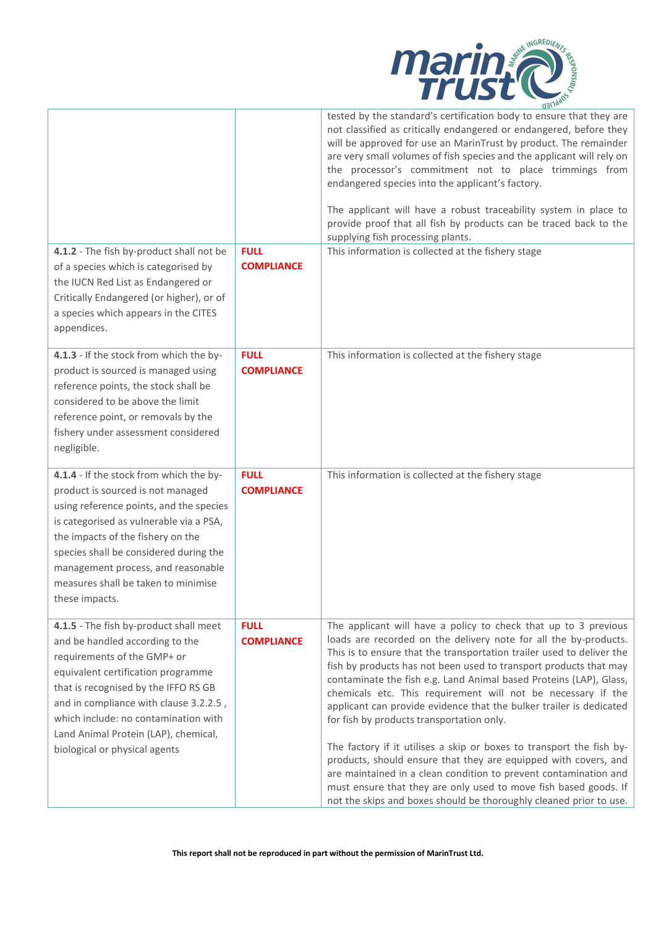

| 4.1.2 - The fish by-product shall not be                                                                                                                                                                                                                                                                                                          | <b>FULL</b>                      | tested by the standard's certification body to ensure that they are<br>not classified as critically endangered or endangered, before they<br>will be approved for use an MarinTrust by product. The remainder<br>are very small volumes of fish species and the applicant will rely on<br>the processor's commitment not to place trimmings from<br>endangered species into the applicant's factory.<br>The applicant will have a robust traceability system in place to<br>provide proof that all fish by products can be traced back to the<br>supplying fish processing plants.<br>This information is collected at the fishery stage                                                                                                                                                                                                                                                             |
|---------------------------------------------------------------------------------------------------------------------------------------------------------------------------------------------------------------------------------------------------------------------------------------------------------------------------------------------------|----------------------------------|------------------------------------------------------------------------------------------------------------------------------------------------------------------------------------------------------------------------------------------------------------------------------------------------------------------------------------------------------------------------------------------------------------------------------------------------------------------------------------------------------------------------------------------------------------------------------------------------------------------------------------------------------------------------------------------------------------------------------------------------------------------------------------------------------------------------------------------------------------------------------------------------------|
| of a species which is categorised by<br>the IUCN Red List as Endangered or<br>Critically Endangered (or higher), or of<br>a species which appears in the CITES<br>appendices.                                                                                                                                                                     | <b>COMPLIANCE</b>                |                                                                                                                                                                                                                                                                                                                                                                                                                                                                                                                                                                                                                                                                                                                                                                                                                                                                                                      |
| 4.1.3 - If the stock from which the by-<br>product is sourced is managed using<br>reference points, the stock shall be<br>considered to be above the limit<br>reference point, or removals by the<br>fishery under assessment considered<br>negligible.                                                                                           | <b>FULL</b><br><b>COMPLIANCE</b> | This information is collected at the fishery stage                                                                                                                                                                                                                                                                                                                                                                                                                                                                                                                                                                                                                                                                                                                                                                                                                                                   |
| 4.1.4 - If the stock from which the by-<br>product is sourced is not managed<br>using reference points, and the species<br>is categorised as vulnerable via a PSA,<br>the impacts of the fishery on the<br>species shall be considered during the<br>management process, and reasonable<br>measures shall be taken to minimise<br>these impacts.  | <b>FULL</b><br><b>COMPLIANCE</b> | This information is collected at the fishery stage                                                                                                                                                                                                                                                                                                                                                                                                                                                                                                                                                                                                                                                                                                                                                                                                                                                   |
| 4.1.5 - The fish by-product shall meet<br>and be handled according to the<br>requirements of the GMP+ or<br>equivalent certification programme<br>that is recognised by the IFFO RS GB<br>and in compliance with clause 3.2.2.5,<br>which include: no contamination with<br>Land Animal Protein (LAP), chemical,<br>biological or physical agents | <b>FULL</b><br><b>COMPLIANCE</b> | The applicant will have a policy to check that up to 3 previous<br>loads are recorded on the delivery note for all the by-products.<br>This is to ensure that the transportation trailer used to deliver the<br>fish by products has not been used to transport products that may<br>contaminate the fish e.g. Land Animal based Proteins (LAP), Glass,<br>chemicals etc. This requirement will not be necessary if the<br>applicant can provide evidence that the bulker trailer is dedicated<br>for fish by products transportation only.<br>The factory if it utilises a skip or boxes to transport the fish by-<br>products, should ensure that they are equipped with covers, and<br>are maintained in a clean condition to prevent contamination and<br>must ensure that they are only used to move fish based goods. If<br>not the skips and boxes should be thoroughly cleaned prior to use. |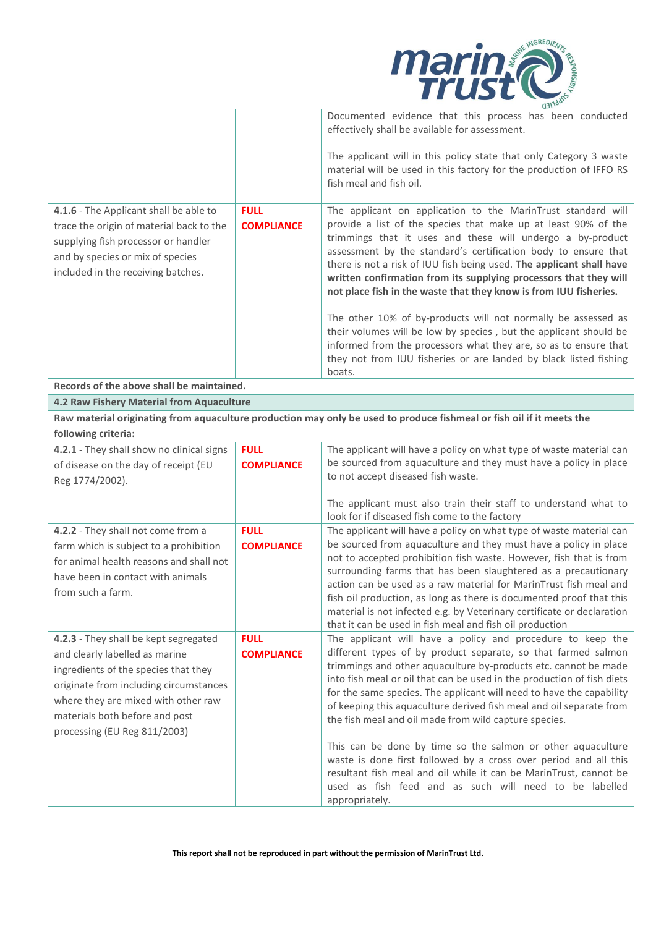

|                                                                                                                                                                                                                                                                    |                                  | Documented evidence that this process has been conducted<br>effectively shall be available for assessment.                                                                                                                                                                                                                                                                                                                                                                                                                                                                                                                                                                                                                                                           |
|--------------------------------------------------------------------------------------------------------------------------------------------------------------------------------------------------------------------------------------------------------------------|----------------------------------|----------------------------------------------------------------------------------------------------------------------------------------------------------------------------------------------------------------------------------------------------------------------------------------------------------------------------------------------------------------------------------------------------------------------------------------------------------------------------------------------------------------------------------------------------------------------------------------------------------------------------------------------------------------------------------------------------------------------------------------------------------------------|
|                                                                                                                                                                                                                                                                    |                                  | The applicant will in this policy state that only Category 3 waste<br>material will be used in this factory for the production of IFFO RS<br>fish meal and fish oil.                                                                                                                                                                                                                                                                                                                                                                                                                                                                                                                                                                                                 |
| 4.1.6 - The Applicant shall be able to<br>trace the origin of material back to the<br>supplying fish processor or handler<br>and by species or mix of species<br>included in the receiving batches.                                                                | <b>FULL</b><br><b>COMPLIANCE</b> | The applicant on application to the MarinTrust standard will<br>provide a list of the species that make up at least 90% of the<br>trimmings that it uses and these will undergo a by-product<br>assessment by the standard's certification body to ensure that<br>there is not a risk of IUU fish being used. The applicant shall have<br>written confirmation from its supplying processors that they will<br>not place fish in the waste that they know is from IUU fisheries.                                                                                                                                                                                                                                                                                     |
|                                                                                                                                                                                                                                                                    |                                  | The other 10% of by-products will not normally be assessed as<br>their volumes will be low by species, but the applicant should be<br>informed from the processors what they are, so as to ensure that<br>they not from IUU fisheries or are landed by black listed fishing<br>boats.                                                                                                                                                                                                                                                                                                                                                                                                                                                                                |
| Records of the above shall be maintained.                                                                                                                                                                                                                          |                                  |                                                                                                                                                                                                                                                                                                                                                                                                                                                                                                                                                                                                                                                                                                                                                                      |
| 4.2 Raw Fishery Material from Aquaculture                                                                                                                                                                                                                          |                                  |                                                                                                                                                                                                                                                                                                                                                                                                                                                                                                                                                                                                                                                                                                                                                                      |
| following criteria:                                                                                                                                                                                                                                                |                                  | Raw material originating from aquaculture production may only be used to produce fishmeal or fish oil if it meets the                                                                                                                                                                                                                                                                                                                                                                                                                                                                                                                                                                                                                                                |
| 4.2.1 - They shall show no clinical signs<br>of disease on the day of receipt (EU<br>Reg 1774/2002).                                                                                                                                                               | <b>FULL</b><br><b>COMPLIANCE</b> | The applicant will have a policy on what type of waste material can<br>be sourced from aquaculture and they must have a policy in place<br>to not accept diseased fish waste.                                                                                                                                                                                                                                                                                                                                                                                                                                                                                                                                                                                        |
|                                                                                                                                                                                                                                                                    |                                  | The applicant must also train their staff to understand what to<br>look for if diseased fish come to the factory                                                                                                                                                                                                                                                                                                                                                                                                                                                                                                                                                                                                                                                     |
| 4.2.2 - They shall not come from a<br>farm which is subject to a prohibition<br>for animal health reasons and shall not<br>have been in contact with animals<br>from such a farm.                                                                                  | <b>FULL</b><br><b>COMPLIANCE</b> | The applicant will have a policy on what type of waste material can<br>be sourced from aquaculture and they must have a policy in place<br>not to accepted prohibition fish waste. However, fish that is from<br>surrounding farms that has been slaughtered as a precautionary<br>action can be used as a raw material for MarinTrust fish meal and<br>fish oil production, as long as there is documented proof that this<br>material is not infected e.g. by Veterinary certificate or declaration<br>that it can be used in fish meal and fish oil production                                                                                                                                                                                                    |
| 4.2.3 - They shall be kept segregated<br>and clearly labelled as marine<br>ingredients of the species that they<br>originate from including circumstances<br>where they are mixed with other raw<br>materials both before and post<br>processing (EU Reg 811/2003) | <b>FULL</b><br><b>COMPLIANCE</b> | The applicant will have a policy and procedure to keep the<br>different types of by product separate, so that farmed salmon<br>trimmings and other aquaculture by-products etc. cannot be made<br>into fish meal or oil that can be used in the production of fish diets<br>for the same species. The applicant will need to have the capability<br>of keeping this aquaculture derived fish meal and oil separate from<br>the fish meal and oil made from wild capture species.<br>This can be done by time so the salmon or other aquaculture<br>waste is done first followed by a cross over period and all this<br>resultant fish meal and oil while it can be MarinTrust, cannot be<br>used as fish feed and as such will need to be labelled<br>appropriately. |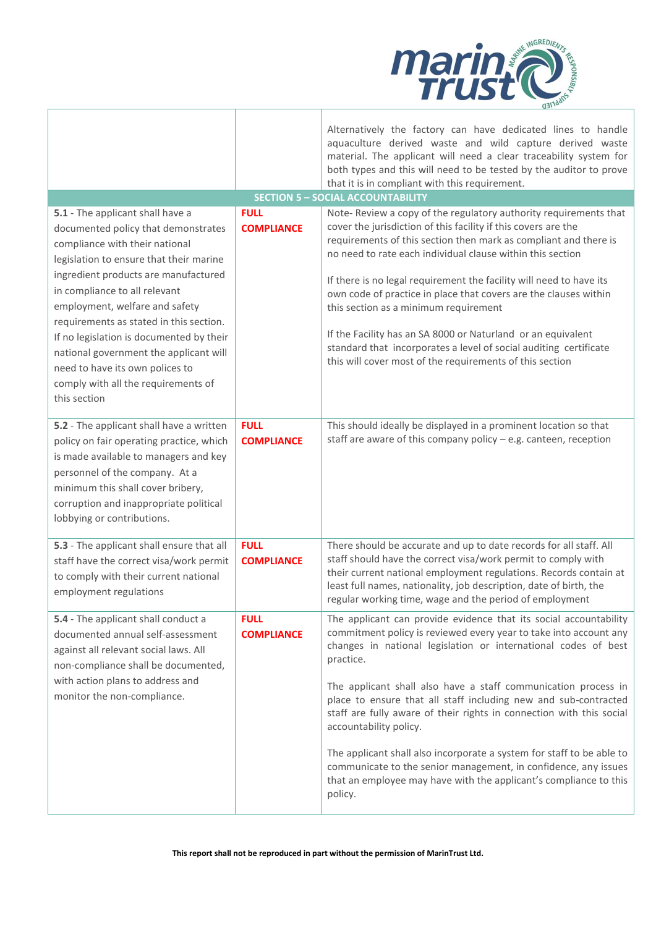

|                                                                                                                                                                                                                                                                                                                                                                                                                                                                                            |                                  | Alternatively the factory can have dedicated lines to handle<br>aquaculture derived waste and wild capture derived waste<br>material. The applicant will need a clear traceability system for<br>both types and this will need to be tested by the auditor to prove                                                                                                                                                                                                                                                                                                                                                                                                           |
|--------------------------------------------------------------------------------------------------------------------------------------------------------------------------------------------------------------------------------------------------------------------------------------------------------------------------------------------------------------------------------------------------------------------------------------------------------------------------------------------|----------------------------------|-------------------------------------------------------------------------------------------------------------------------------------------------------------------------------------------------------------------------------------------------------------------------------------------------------------------------------------------------------------------------------------------------------------------------------------------------------------------------------------------------------------------------------------------------------------------------------------------------------------------------------------------------------------------------------|
|                                                                                                                                                                                                                                                                                                                                                                                                                                                                                            |                                  | that it is in compliant with this requirement.                                                                                                                                                                                                                                                                                                                                                                                                                                                                                                                                                                                                                                |
|                                                                                                                                                                                                                                                                                                                                                                                                                                                                                            |                                  | <b>SECTION 5 - SOCIAL ACCOUNTABILITY</b>                                                                                                                                                                                                                                                                                                                                                                                                                                                                                                                                                                                                                                      |
| 5.1 - The applicant shall have a<br>documented policy that demonstrates<br>compliance with their national<br>legislation to ensure that their marine<br>ingredient products are manufactured<br>in compliance to all relevant<br>employment, welfare and safety<br>requirements as stated in this section.<br>If no legislation is documented by their<br>national government the applicant will<br>need to have its own polices to<br>comply with all the requirements of<br>this section | <b>FULL</b><br><b>COMPLIANCE</b> | Note-Review a copy of the regulatory authority requirements that<br>cover the jurisdiction of this facility if this covers are the<br>requirements of this section then mark as compliant and there is<br>no need to rate each individual clause within this section<br>If there is no legal requirement the facility will need to have its<br>own code of practice in place that covers are the clauses within<br>this section as a minimum requirement<br>If the Facility has an SA 8000 or Naturland or an equivalent<br>standard that incorporates a level of social auditing certificate<br>this will cover most of the requirements of this section                     |
| 5.2 - The applicant shall have a written<br>policy on fair operating practice, which<br>is made available to managers and key<br>personnel of the company. At a<br>minimum this shall cover bribery,<br>corruption and inappropriate political<br>lobbying or contributions.                                                                                                                                                                                                               | <b>FULL</b><br><b>COMPLIANCE</b> | This should ideally be displayed in a prominent location so that<br>staff are aware of this company policy $-$ e.g. canteen, reception                                                                                                                                                                                                                                                                                                                                                                                                                                                                                                                                        |
| 5.3 - The applicant shall ensure that all<br>staff have the correct visa/work permit<br>to comply with their current national<br>employment regulations                                                                                                                                                                                                                                                                                                                                    | <b>FULL</b><br><b>COMPLIANCE</b> | There should be accurate and up to date records for all staff. All<br>staff should have the correct visa/work permit to comply with<br>their current national employment regulations. Records contain at<br>least full names, nationality, job description, date of birth, the<br>regular working time, wage and the period of employment                                                                                                                                                                                                                                                                                                                                     |
| 5.4 - The applicant shall conduct a<br>documented annual self-assessment<br>against all relevant social laws. All<br>non-compliance shall be documented,<br>with action plans to address and<br>monitor the non-compliance.                                                                                                                                                                                                                                                                | <b>FULL</b><br><b>COMPLIANCE</b> | The applicant can provide evidence that its social accountability<br>commitment policy is reviewed every year to take into account any<br>changes in national legislation or international codes of best<br>practice.<br>The applicant shall also have a staff communication process in<br>place to ensure that all staff including new and sub-contracted<br>staff are fully aware of their rights in connection with this social<br>accountability policy.<br>The applicant shall also incorporate a system for staff to be able to<br>communicate to the senior management, in confidence, any issues<br>that an employee may have with the applicant's compliance to this |
|                                                                                                                                                                                                                                                                                                                                                                                                                                                                                            |                                  | policy.                                                                                                                                                                                                                                                                                                                                                                                                                                                                                                                                                                                                                                                                       |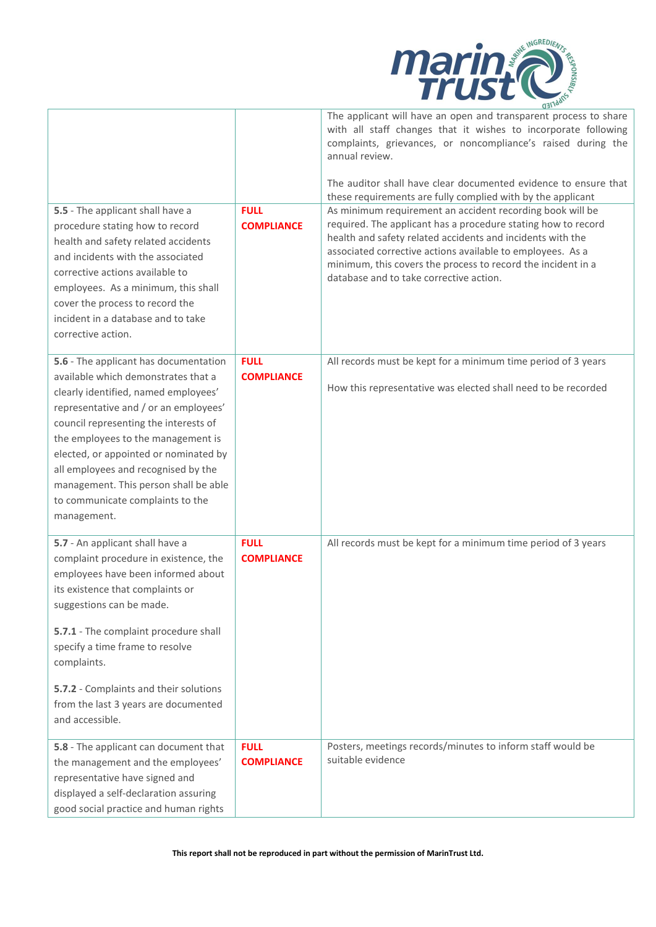

| 5.5 - The applicant shall have a<br>procedure stating how to record<br>health and safety related accidents<br>and incidents with the associated                                                                                                                                                                                                                                                                          | <b>FULL</b><br><b>COMPLIANCE</b> | The applicant will have an open and transparent process to share<br>with all staff changes that it wishes to incorporate following<br>complaints, grievances, or noncompliance's raised during the<br>annual review.<br>The auditor shall have clear documented evidence to ensure that<br>these requirements are fully complied with by the applicant<br>As minimum requirement an accident recording book will be<br>required. The applicant has a procedure stating how to record<br>health and safety related accidents and incidents with the<br>associated corrective actions available to employees. As a |
|--------------------------------------------------------------------------------------------------------------------------------------------------------------------------------------------------------------------------------------------------------------------------------------------------------------------------------------------------------------------------------------------------------------------------|----------------------------------|------------------------------------------------------------------------------------------------------------------------------------------------------------------------------------------------------------------------------------------------------------------------------------------------------------------------------------------------------------------------------------------------------------------------------------------------------------------------------------------------------------------------------------------------------------------------------------------------------------------|
| corrective actions available to<br>employees. As a minimum, this shall<br>cover the process to record the<br>incident in a database and to take<br>corrective action.                                                                                                                                                                                                                                                    |                                  | minimum, this covers the process to record the incident in a<br>database and to take corrective action.                                                                                                                                                                                                                                                                                                                                                                                                                                                                                                          |
| 5.6 - The applicant has documentation<br>available which demonstrates that a<br>clearly identified, named employees'<br>representative and / or an employees'<br>council representing the interests of<br>the employees to the management is<br>elected, or appointed or nominated by<br>all employees and recognised by the<br>management. This person shall be able<br>to communicate complaints to the<br>management. | <b>FULL</b><br><b>COMPLIANCE</b> | All records must be kept for a minimum time period of 3 years<br>How this representative was elected shall need to be recorded                                                                                                                                                                                                                                                                                                                                                                                                                                                                                   |
| 5.7 - An applicant shall have a<br>complaint procedure in existence, the<br>employees have been informed about<br>its existence that complaints or<br>suggestions can be made.<br>5.7.1 - The complaint procedure shall<br>specify a time frame to resolve<br>complaints.<br>5.7.2 - Complaints and their solutions<br>from the last 3 years are documented<br>and accessible.                                           | <b>FULL</b><br><b>COMPLIANCE</b> | All records must be kept for a minimum time period of 3 years                                                                                                                                                                                                                                                                                                                                                                                                                                                                                                                                                    |
| 5.8 - The applicant can document that<br>the management and the employees'<br>representative have signed and<br>displayed a self-declaration assuring<br>good social practice and human rights                                                                                                                                                                                                                           | <b>FULL</b><br><b>COMPLIANCE</b> | Posters, meetings records/minutes to inform staff would be<br>suitable evidence                                                                                                                                                                                                                                                                                                                                                                                                                                                                                                                                  |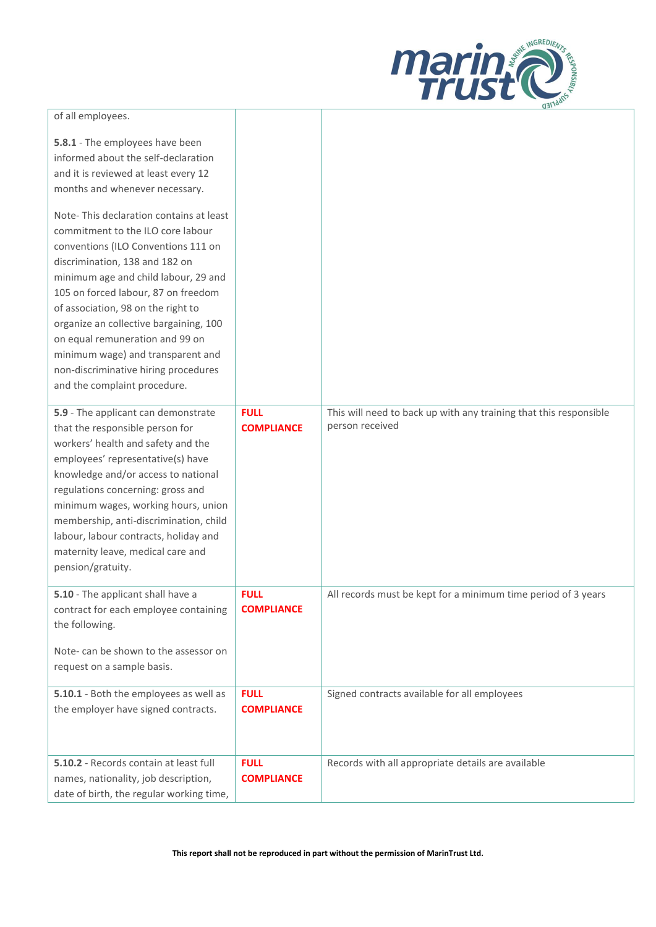

| of all employees.                                                                                                                                                                                                                                                                                                                                                                                                                                                    |                                  |                                                                                      |
|----------------------------------------------------------------------------------------------------------------------------------------------------------------------------------------------------------------------------------------------------------------------------------------------------------------------------------------------------------------------------------------------------------------------------------------------------------------------|----------------------------------|--------------------------------------------------------------------------------------|
| 5.8.1 - The employees have been<br>informed about the self-declaration<br>and it is reviewed at least every 12<br>months and whenever necessary.                                                                                                                                                                                                                                                                                                                     |                                  |                                                                                      |
| Note-This declaration contains at least<br>commitment to the ILO core labour<br>conventions (ILO Conventions 111 on<br>discrimination, 138 and 182 on<br>minimum age and child labour, 29 and<br>105 on forced labour, 87 on freedom<br>of association, 98 on the right to<br>organize an collective bargaining, 100<br>on equal remuneration and 99 on<br>minimum wage) and transparent and<br>non-discriminative hiring procedures<br>and the complaint procedure. |                                  |                                                                                      |
| 5.9 - The applicant can demonstrate<br>that the responsible person for<br>workers' health and safety and the<br>employees' representative(s) have<br>knowledge and/or access to national<br>regulations concerning: gross and<br>minimum wages, working hours, union<br>membership, anti-discrimination, child<br>labour, labour contracts, holiday and<br>maternity leave, medical care and<br>pension/gratuity.                                                    | <b>FULL</b><br><b>COMPLIANCE</b> | This will need to back up with any training that this responsible<br>person received |
| 5.10 - The applicant shall have a<br>contract for each employee containing<br>the following.<br>Note- can be shown to the assessor on<br>request on a sample basis.                                                                                                                                                                                                                                                                                                  | <b>FULL</b><br><b>COMPLIANCE</b> | All records must be kept for a minimum time period of 3 years                        |
| 5.10.1 - Both the employees as well as<br>the employer have signed contracts.                                                                                                                                                                                                                                                                                                                                                                                        | <b>FULL</b><br><b>COMPLIANCE</b> | Signed contracts available for all employees                                         |
| 5.10.2 - Records contain at least full<br>names, nationality, job description,<br>date of birth, the regular working time,                                                                                                                                                                                                                                                                                                                                           | <b>FULL</b><br><b>COMPLIANCE</b> | Records with all appropriate details are available                                   |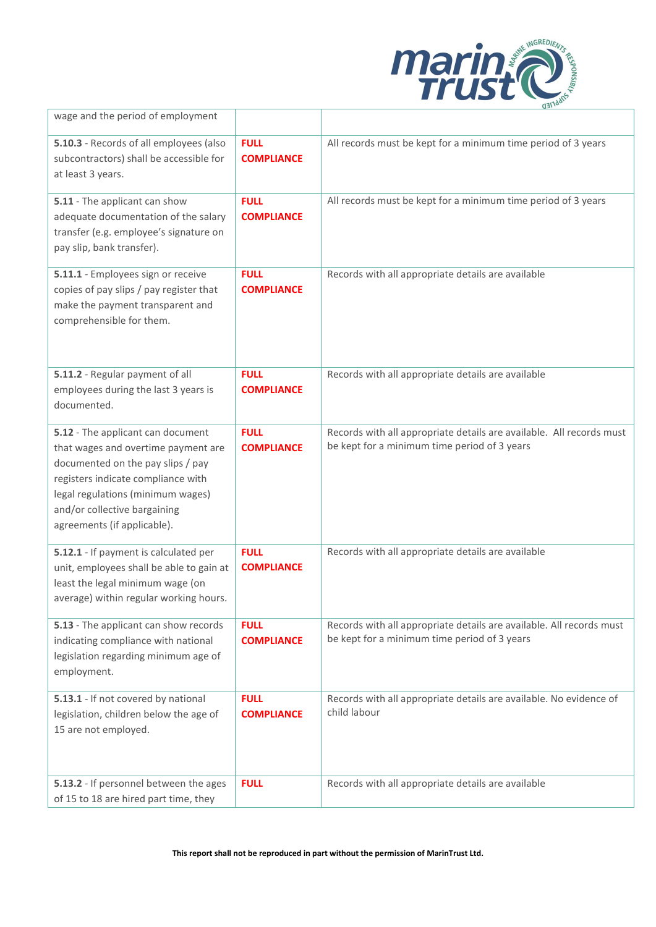

| wage and the period of employment                                                                                                                                                                                                                       |                                  |                                                                                                                      |
|---------------------------------------------------------------------------------------------------------------------------------------------------------------------------------------------------------------------------------------------------------|----------------------------------|----------------------------------------------------------------------------------------------------------------------|
| 5.10.3 - Records of all employees (also<br>subcontractors) shall be accessible for<br>at least 3 years.                                                                                                                                                 | <b>FULL</b><br><b>COMPLIANCE</b> | All records must be kept for a minimum time period of 3 years                                                        |
| 5.11 - The applicant can show<br>adequate documentation of the salary<br>transfer (e.g. employee's signature on<br>pay slip, bank transfer).                                                                                                            | <b>FULL</b><br><b>COMPLIANCE</b> | All records must be kept for a minimum time period of 3 years                                                        |
| 5.11.1 - Employees sign or receive<br>copies of pay slips / pay register that<br>make the payment transparent and<br>comprehensible for them.                                                                                                           | <b>FULL</b><br><b>COMPLIANCE</b> | Records with all appropriate details are available                                                                   |
| 5.11.2 - Regular payment of all<br>employees during the last 3 years is<br>documented.                                                                                                                                                                  | <b>FULL</b><br><b>COMPLIANCE</b> | Records with all appropriate details are available                                                                   |
| 5.12 - The applicant can document<br>that wages and overtime payment are<br>documented on the pay slips / pay<br>registers indicate compliance with<br>legal regulations (minimum wages)<br>and/or collective bargaining<br>agreements (if applicable). | <b>FULL</b><br><b>COMPLIANCE</b> | Records with all appropriate details are available. All records must<br>be kept for a minimum time period of 3 years |
| 5.12.1 - If payment is calculated per<br>unit, employees shall be able to gain at<br>least the legal minimum wage (on<br>average) within regular working hours.                                                                                         | <b>FULL</b><br><b>COMPLIANCE</b> | Records with all appropriate details are available                                                                   |
| 5.13 - The applicant can show records<br>indicating compliance with national<br>legislation regarding minimum age of<br>employment.                                                                                                                     | <b>FULL</b><br><b>COMPLIANCE</b> | Records with all appropriate details are available. All records must<br>be kept for a minimum time period of 3 years |
| 5.13.1 - If not covered by national<br>legislation, children below the age of<br>15 are not employed.                                                                                                                                                   | <b>FULL</b><br><b>COMPLIANCE</b> | Records with all appropriate details are available. No evidence of<br>child labour                                   |
| 5.13.2 - If personnel between the ages<br>of 15 to 18 are hired part time, they                                                                                                                                                                         | <b>FULL</b>                      | Records with all appropriate details are available                                                                   |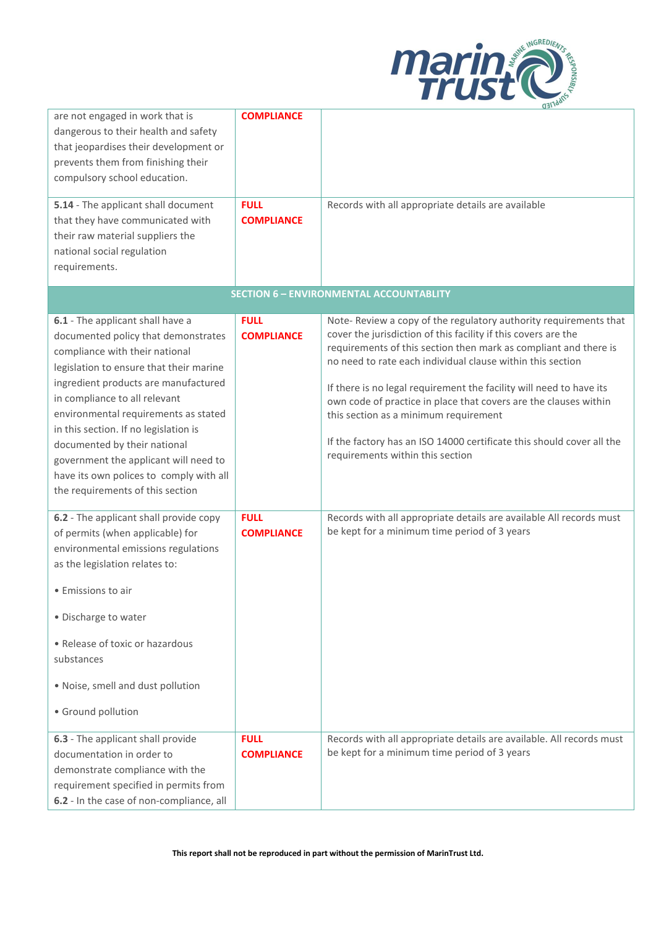

| are not engaged in work that is<br>dangerous to their health and safety         | <b>COMPLIANCE</b> |                                                                                                                                |
|---------------------------------------------------------------------------------|-------------------|--------------------------------------------------------------------------------------------------------------------------------|
| that jeopardises their development or                                           |                   |                                                                                                                                |
| prevents them from finishing their                                              |                   |                                                                                                                                |
| compulsory school education.                                                    |                   |                                                                                                                                |
| 5.14 - The applicant shall document                                             | <b>FULL</b>       | Records with all appropriate details are available                                                                             |
| that they have communicated with                                                | <b>COMPLIANCE</b> |                                                                                                                                |
| their raw material suppliers the                                                |                   |                                                                                                                                |
| national social regulation                                                      |                   |                                                                                                                                |
| requirements.                                                                   |                   |                                                                                                                                |
|                                                                                 |                   | <b>SECTION 6 - ENVIRONMENTAL ACCOUNTABLITY</b>                                                                                 |
| 6.1 - The applicant shall have a                                                | <b>FULL</b>       | Note-Review a copy of the regulatory authority requirements that                                                               |
| documented policy that demonstrates                                             | <b>COMPLIANCE</b> | cover the jurisdiction of this facility if this covers are the                                                                 |
| compliance with their national                                                  |                   | requirements of this section then mark as compliant and there is<br>no need to rate each individual clause within this section |
| legislation to ensure that their marine<br>ingredient products are manufactured |                   |                                                                                                                                |
| in compliance to all relevant                                                   |                   | If there is no legal requirement the facility will need to have its                                                            |
| environmental requirements as stated                                            |                   | own code of practice in place that covers are the clauses within<br>this section as a minimum requirement                      |
| in this section. If no legislation is                                           |                   |                                                                                                                                |
| documented by their national                                                    |                   | If the factory has an ISO 14000 certificate this should cover all the                                                          |
| government the applicant will need to                                           |                   | requirements within this section                                                                                               |
| have its own polices to comply with all                                         |                   |                                                                                                                                |
| the requirements of this section                                                |                   |                                                                                                                                |
| 6.2 - The applicant shall provide copy                                          | <b>FULL</b>       | Records with all appropriate details are available All records must                                                            |
| of permits (when applicable) for                                                | <b>COMPLIANCE</b> | be kept for a minimum time period of 3 years                                                                                   |
| environmental emissions regulations                                             |                   |                                                                                                                                |
| as the legislation relates to:                                                  |                   |                                                                                                                                |
| • Emissions to air                                                              |                   |                                                                                                                                |
| • Discharge to water                                                            |                   |                                                                                                                                |
| • Release of toxic or hazardous<br>substances                                   |                   |                                                                                                                                |
| . Noise, smell and dust pollution                                               |                   |                                                                                                                                |
| · Ground pollution                                                              |                   |                                                                                                                                |
| 6.3 - The applicant shall provide                                               | <b>FULL</b>       | Records with all appropriate details are available. All records must                                                           |
| documentation in order to                                                       | <b>COMPLIANCE</b> | be kept for a minimum time period of 3 years                                                                                   |
| demonstrate compliance with the<br>requirement specified in permits from        |                   |                                                                                                                                |
| 6.2 - In the case of non-compliance, all                                        |                   |                                                                                                                                |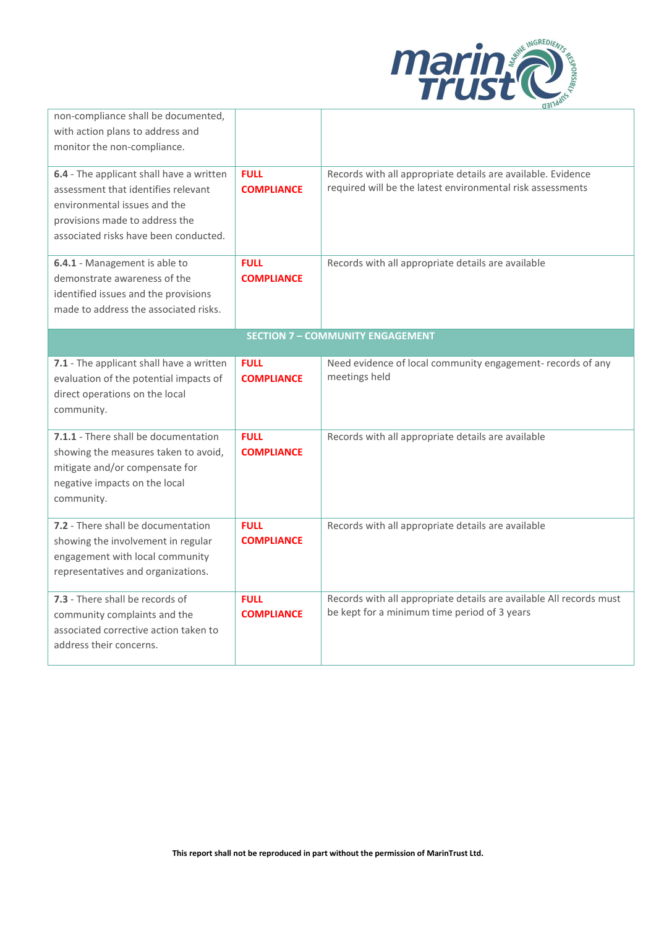

|                                                                                                                                                                                            |                                  | $QH_{L}$                                                                                                                   |
|--------------------------------------------------------------------------------------------------------------------------------------------------------------------------------------------|----------------------------------|----------------------------------------------------------------------------------------------------------------------------|
| non-compliance shall be documented,<br>with action plans to address and<br>monitor the non-compliance.                                                                                     |                                  |                                                                                                                            |
| 6.4 - The applicant shall have a written<br>assessment that identifies relevant<br>environmental issues and the<br>provisions made to address the<br>associated risks have been conducted. | <b>FULL</b><br><b>COMPLIANCE</b> | Records with all appropriate details are available. Evidence<br>required will be the latest environmental risk assessments |
| 6.4.1 - Management is able to<br>demonstrate awareness of the<br>identified issues and the provisions<br>made to address the associated risks.                                             | <b>FULL</b><br><b>COMPLIANCE</b> | Records with all appropriate details are available                                                                         |
|                                                                                                                                                                                            |                                  | <b>SECTION 7 - COMMUNITY ENGAGEMENT</b>                                                                                    |
| 7.1 - The applicant shall have a written<br>evaluation of the potential impacts of<br>direct operations on the local<br>community.                                                         | <b>FULL</b><br><b>COMPLIANCE</b> | Need evidence of local community engagement- records of any<br>meetings held                                               |
| 7.1.1 - There shall be documentation<br>showing the measures taken to avoid,<br>mitigate and/or compensate for<br>negative impacts on the local<br>community.                              | <b>FULL</b><br><b>COMPLIANCE</b> | Records with all appropriate details are available                                                                         |
| 7.2 - There shall be documentation<br>showing the involvement in regular<br>engagement with local community<br>representatives and organizations.                                          | <b>FULL</b><br><b>COMPLIANCE</b> | Records with all appropriate details are available                                                                         |
| 7.3 - There shall be records of<br>community complaints and the<br>associated corrective action taken to<br>address their concerns.                                                        | <b>FULL</b><br><b>COMPLIANCE</b> | Records with all appropriate details are available All records must<br>be kept for a minimum time period of 3 years        |